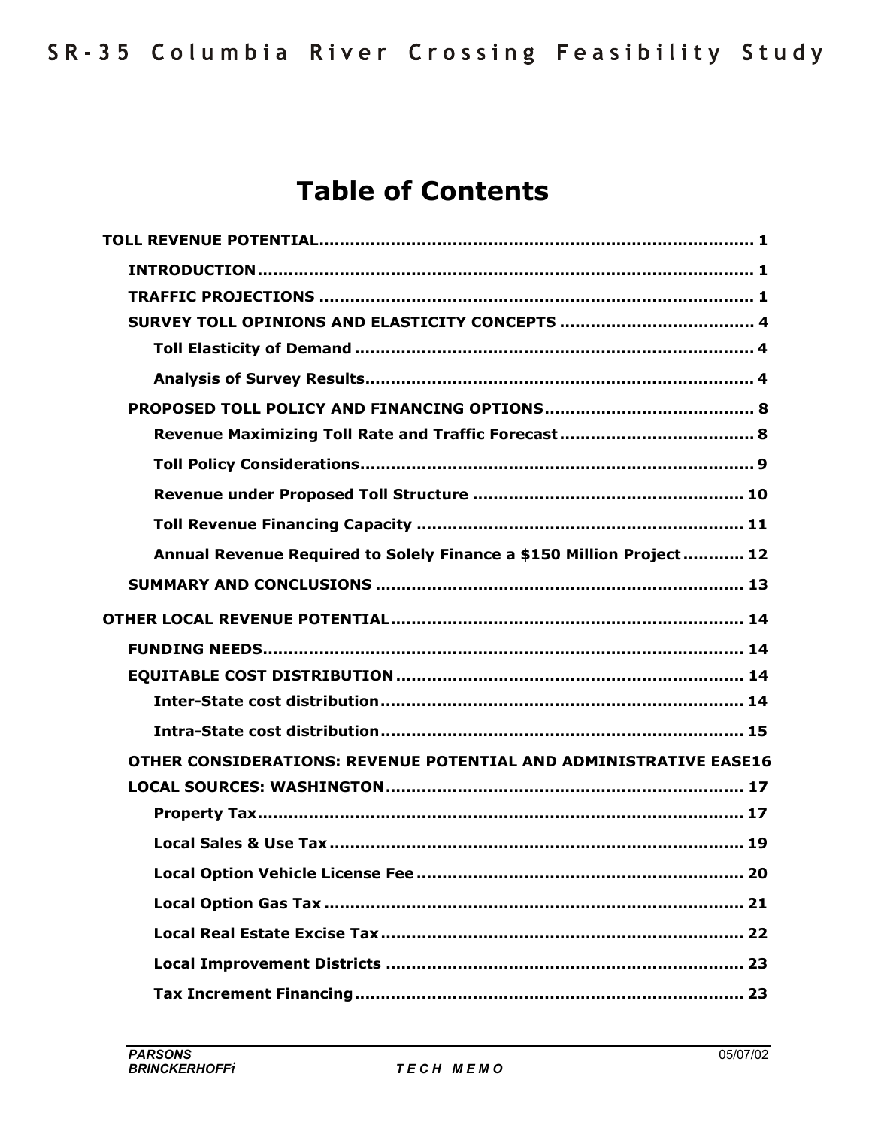# **Table of Contents**

| Annual Revenue Required to Solely Finance a \$150 Million Project 12 |
|----------------------------------------------------------------------|
|                                                                      |
|                                                                      |
|                                                                      |
|                                                                      |
|                                                                      |
|                                                                      |
| OTHER CONSIDERATIONS: REVENUE POTENTIAL AND ADMINISTRATIVE EASE16    |
|                                                                      |
|                                                                      |
|                                                                      |
| 20                                                                   |
|                                                                      |
|                                                                      |
|                                                                      |
|                                                                      |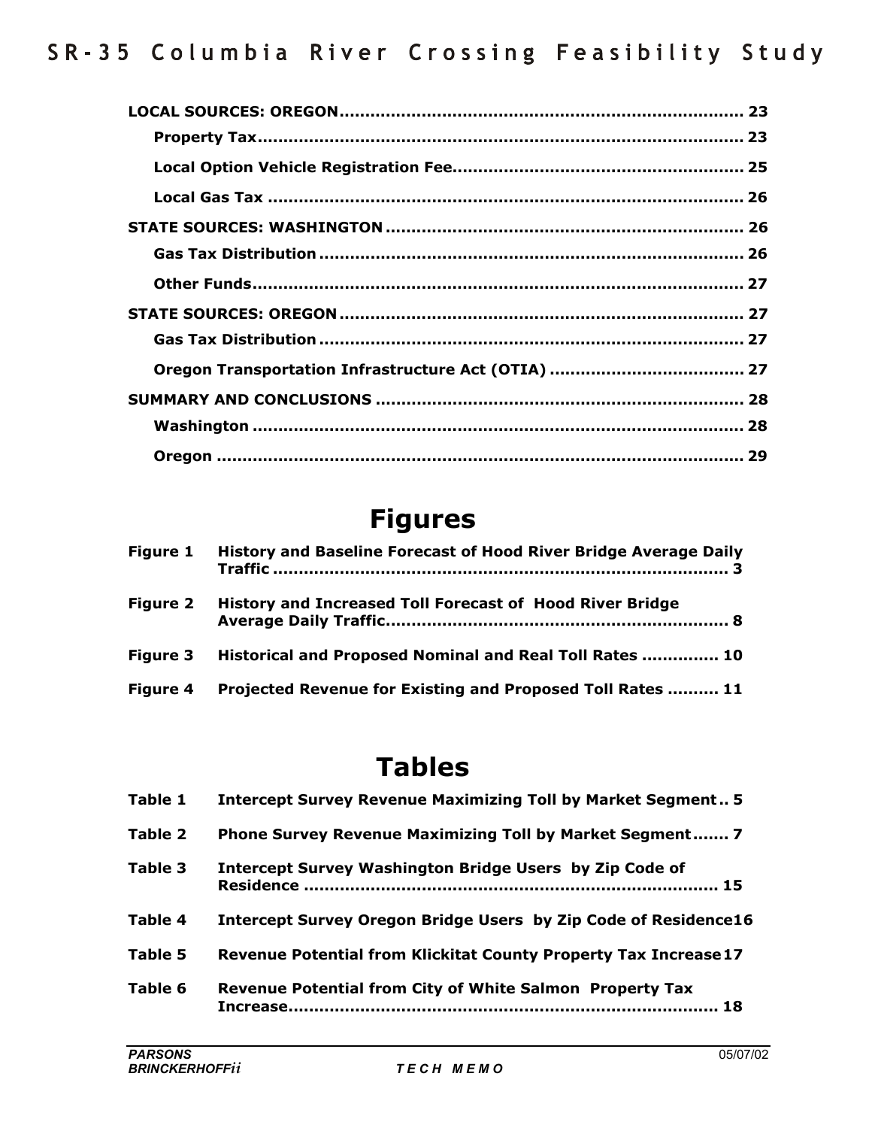# **Figures**

| <b>Figure 1</b> | History and Baseline Forecast of Hood River Bridge Average Daily |
|-----------------|------------------------------------------------------------------|
| <b>Figure 2</b> | History and Increased Toll Forecast of Hood River Bridge         |
| <b>Figure 3</b> | Historical and Proposed Nominal and Real Toll Rates  10          |
| <b>Figure 4</b> | Projected Revenue for Existing and Proposed Toll Rates  11       |

# **Tables**

| Table 1 | Intercept Survey Revenue Maximizing Toll by Market Segment 5     |
|---------|------------------------------------------------------------------|
| Table 2 | Phone Survey Revenue Maximizing Toll by Market Segment 7         |
| Table 3 | <b>Intercept Survey Washington Bridge Users by Zip Code of</b>   |
| Table 4 | Intercept Survey Oregon Bridge Users by Zip Code of Residence16  |
| Table 5 | Revenue Potential from Klickitat County Property Tax Increase 17 |
| Table 6 | Revenue Potential from City of White Salmon Property Tax<br>18   |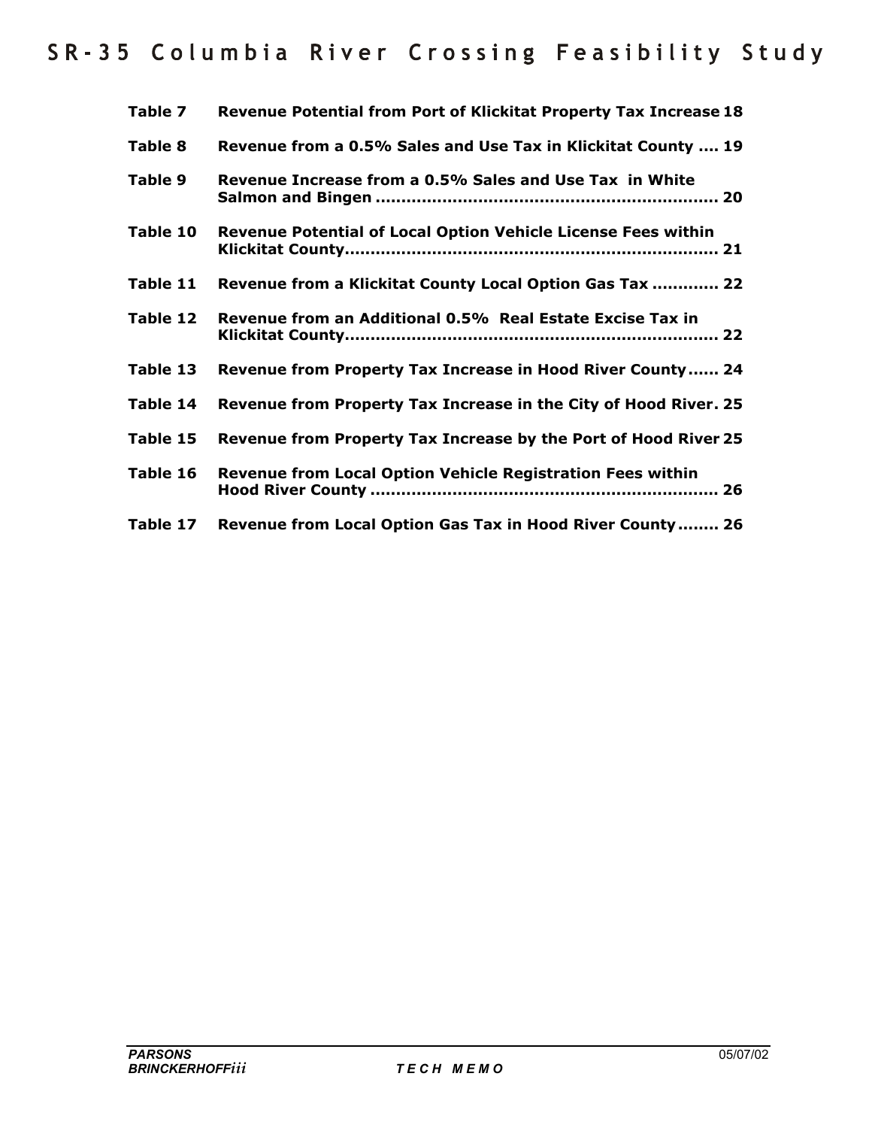| Table 7  | Revenue Potential from Port of Klickitat Property Tax Increase 18    |
|----------|----------------------------------------------------------------------|
| Table 8  | Revenue from a 0.5% Sales and Use Tax in Klickitat County  19        |
| Table 9  | Revenue Increase from a 0.5% Sales and Use Tax in White              |
| Table 10 | <b>Revenue Potential of Local Option Vehicle License Fees within</b> |
| Table 11 | Revenue from a Klickitat County Local Option Gas Tax  22             |
| Table 12 | Revenue from an Additional 0.5% Real Estate Excise Tax in            |
| Table 13 | Revenue from Property Tax Increase in Hood River County 24           |
| Table 14 | Revenue from Property Tax Increase in the City of Hood River. 25     |
| Table 15 | Revenue from Property Tax Increase by the Port of Hood River 25      |
| Table 16 | Revenue from Local Option Vehicle Registration Fees within           |
| Table 17 | Revenue from Local Option Gas Tax in Hood River County 26            |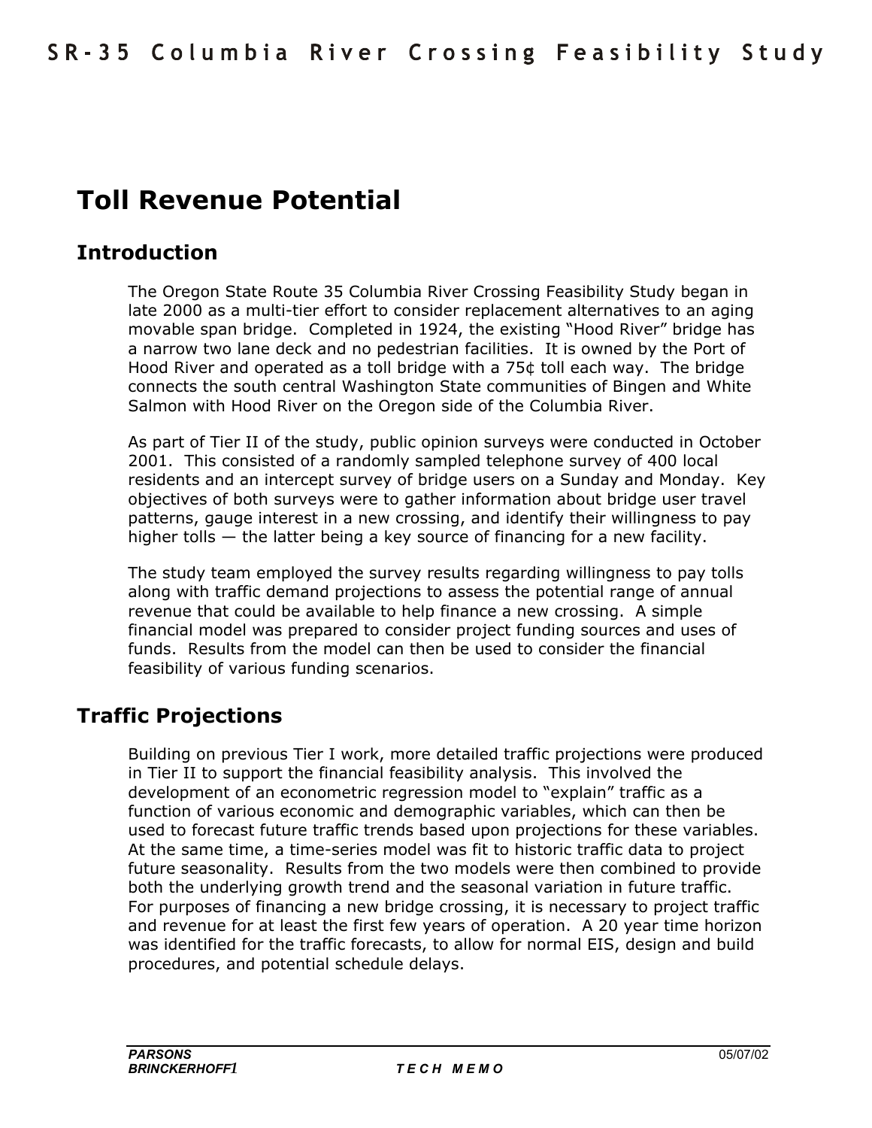# **Toll Revenue Potential**

# **Introduction**

The Oregon State Route 35 Columbia River Crossing Feasibility Study began in late 2000 as a multi-tier effort to consider replacement alternatives to an aging movable span bridge. Completed in 1924, the existing "Hood River" bridge has a narrow two lane deck and no pedestrian facilities. It is owned by the Port of Hood River and operated as a toll bridge with a 75¢ toll each way. The bridge connects the south central Washington State communities of Bingen and White Salmon with Hood River on the Oregon side of the Columbia River.

As part of Tier II of the study, public opinion surveys were conducted in October 2001. This consisted of a randomly sampled telephone survey of 400 local residents and an intercept survey of bridge users on a Sunday and Monday. Key objectives of both surveys were to gather information about bridge user travel patterns, gauge interest in a new crossing, and identify their willingness to pay higher tolls  $-$  the latter being a key source of financing for a new facility.

The study team employed the survey results regarding willingness to pay tolls along with traffic demand projections to assess the potential range of annual revenue that could be available to help finance a new crossing. A simple financial model was prepared to consider project funding sources and uses of funds. Results from the model can then be used to consider the financial feasibility of various funding scenarios.

# **Traffic Projections**

Building on previous Tier I work, more detailed traffic projections were produced in Tier II to support the financial feasibility analysis. This involved the development of an econometric regression model to "explain" traffic as a function of various economic and demographic variables, which can then be used to forecast future traffic trends based upon projections for these variables. At the same time, a time-series model was fit to historic traffic data to project future seasonality. Results from the two models were then combined to provide both the underlying growth trend and the seasonal variation in future traffic. For purposes of financing a new bridge crossing, it is necessary to project traffic and revenue for at least the first few years of operation. A 20 year time horizon was identified for the traffic forecasts, to allow for normal EIS, design and build procedures, and potential schedule delays.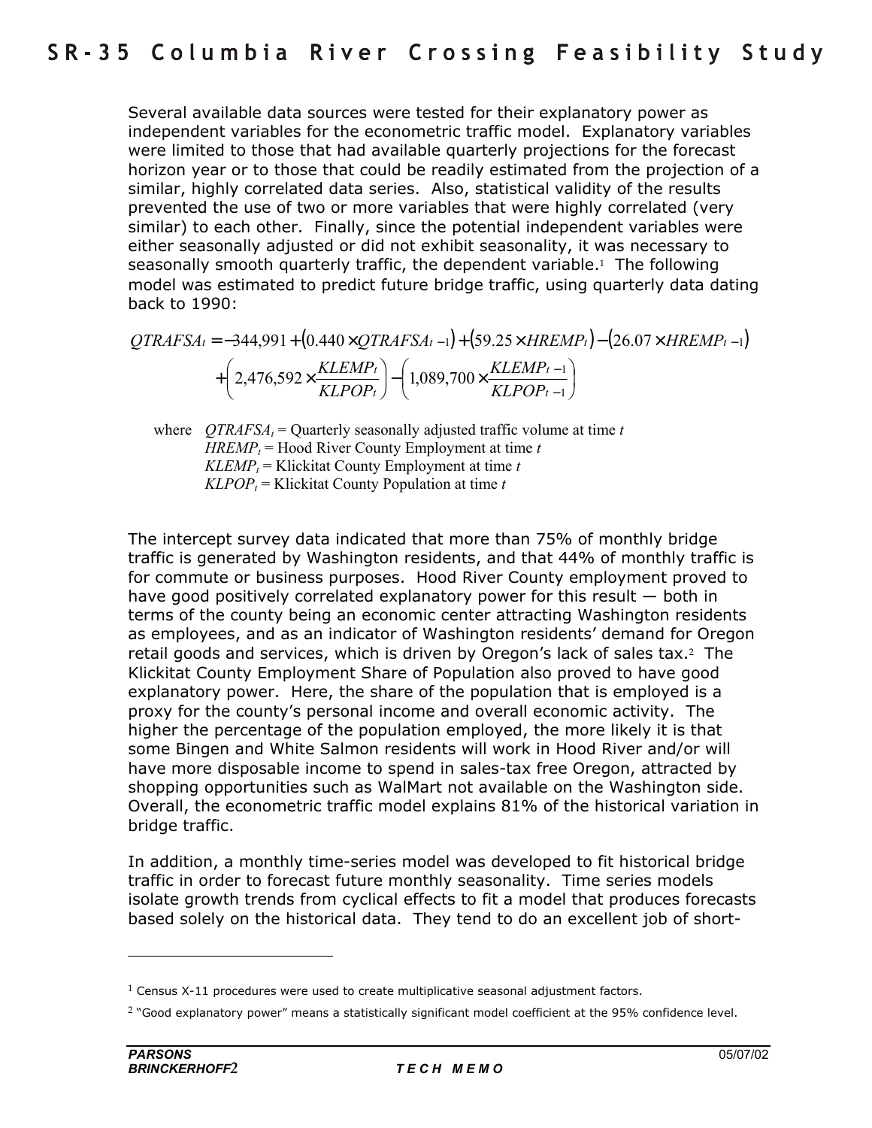Several available data sources were tested for their explanatory power as independent variables for the econometric traffic model. Explanatory variables were limited to those that had available quarterly projections for the forecast horizon year or to those that could be readily estimated from the projection of a similar, highly correlated data series. Also, statistical validity of the results prevented the use of two or more variables that were highly correlated (very similar) to each other. Finally, since the potential independent variables were either seasonally adjusted or did not exhibit seasonality, it was necessary to seasonally smooth quarterly traffic, the dependent variable.<sup>1</sup> The following model was estimated to predict future bridge traffic, using quarterly data dating back to 1990:

$$
QTRAFSA_{t} = -344,991 + (0.440 \times QTRAFSA_{t-1}) + (59.25 \times HREMP_{t}) - (26.07 \times HREMP_{t-1}) + (2,476,592 \times \frac{KLEMP_{t}}{KLPOP_{t}}) - (1,089,700 \times \frac{KLEMP_{t-1}}{KLPOP_{t-1}})
$$

where  $QTRAFSA_t =$ Quarterly seasonally adjusted traffic volume at time *t*  $HREMP_t$  = Hood River County Employment at time *t*  $KLEMP_t$  = Klickitat County Employment at time *t*  $KLPOP<sub>t</sub>$  = Klickitat County Population at time *t* 

The intercept survey data indicated that more than 75% of monthly bridge traffic is generated by Washington residents, and that 44% of monthly traffic is for commute or business purposes. Hood River County employment proved to have good positively correlated explanatory power for this result  $-$  both in terms of the county being an economic center attracting Washington residents as employees, and as an indicator of Washington residents' demand for Oregon retail goods and services, which is driven by Oregon's lack of sales tax.<sup>2</sup> The Klickitat County Employment Share of Population also proved to have good explanatory power. Here, the share of the population that is employed is a proxy for the countyís personal income and overall economic activity. The higher the percentage of the population employed, the more likely it is that some Bingen and White Salmon residents will work in Hood River and/or will have more disposable income to spend in sales-tax free Oregon, attracted by shopping opportunities such as WalMart not available on the Washington side. Overall, the econometric traffic model explains 81% of the historical variation in bridge traffic.

In addition, a monthly time-series model was developed to fit historical bridge traffic in order to forecast future monthly seasonality. Time series models isolate growth trends from cyclical effects to fit a model that produces forecasts based solely on the historical data. They tend to do an excellent job of short-

 $1$  Census X-11 procedures were used to create multiplicative seasonal adjustment factors.

<sup>&</sup>lt;sup>2</sup> "Good explanatory power" means a statistically significant model coefficient at the 95% confidence level.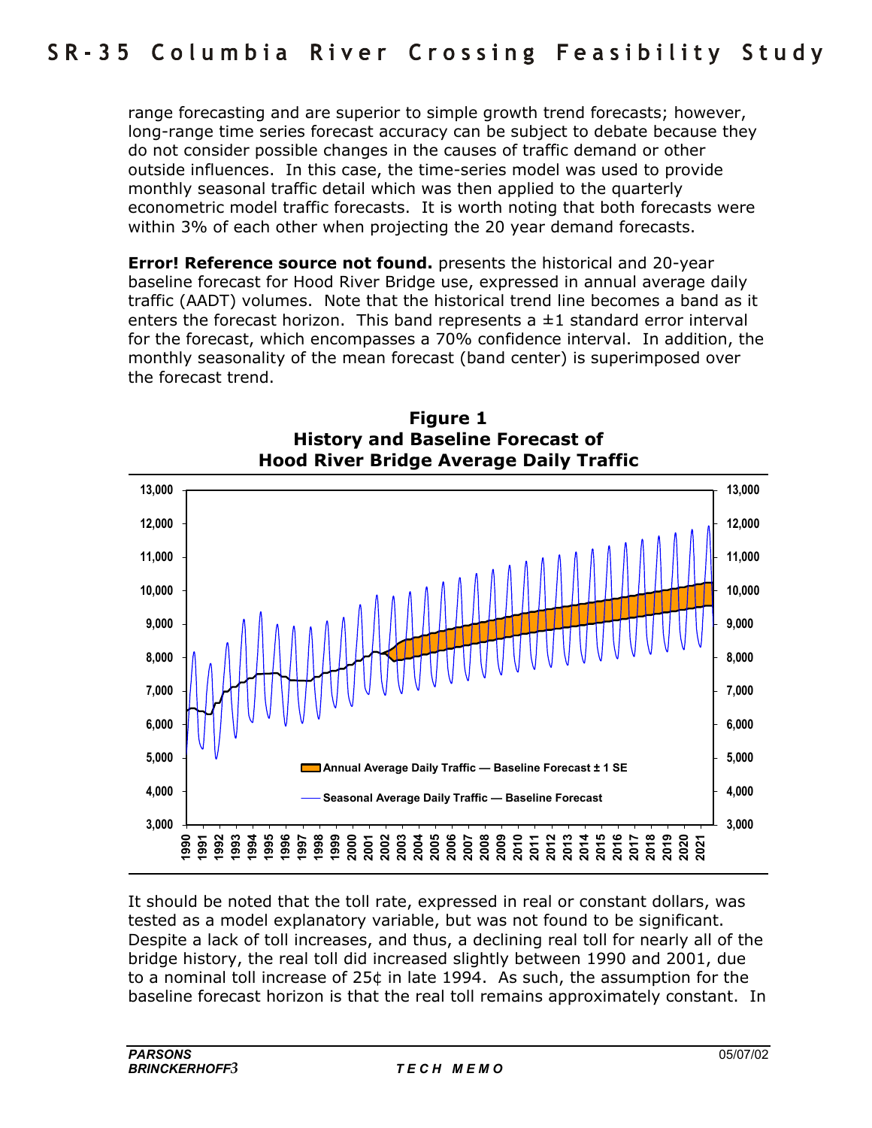range forecasting and are superior to simple growth trend forecasts; however, long-range time series forecast accuracy can be subject to debate because they do not consider possible changes in the causes of traffic demand or other outside influences. In this case, the time-series model was used to provide monthly seasonal traffic detail which was then applied to the quarterly econometric model traffic forecasts. It is worth noting that both forecasts were within 3% of each other when projecting the 20 year demand forecasts.

**Error! Reference source not found.** presents the historical and 20-year baseline forecast for Hood River Bridge use, expressed in annual average daily traffic (AADT) volumes. Note that the historical trend line becomes a band as it enters the forecast horizon. This band represents a  $\pm 1$  standard error interval for the forecast, which encompasses a 70% confidence interval. In addition, the monthly seasonality of the mean forecast (band center) is superimposed over the forecast trend.





It should be noted that the toll rate, expressed in real or constant dollars, was tested as a model explanatory variable, but was not found to be significant. Despite a lack of toll increases, and thus, a declining real toll for nearly all of the bridge history, the real toll did increased slightly between 1990 and 2001, due to a nominal toll increase of 25¢ in late 1994. As such, the assumption for the baseline forecast horizon is that the real toll remains approximately constant. In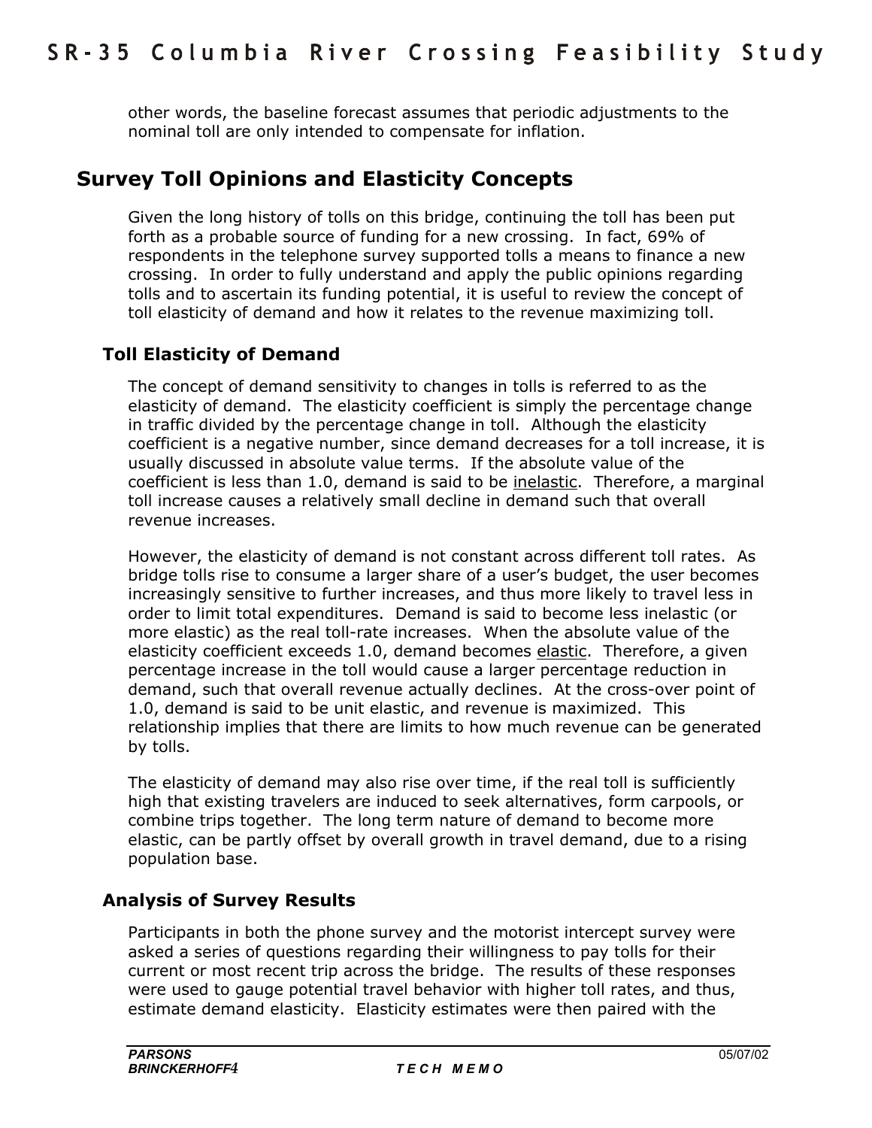other words, the baseline forecast assumes that periodic adjustments to the nominal toll are only intended to compensate for inflation.

# **Survey Toll Opinions and Elasticity Concepts**

Given the long history of tolls on this bridge, continuing the toll has been put forth as a probable source of funding for a new crossing. In fact, 69% of respondents in the telephone survey supported tolls a means to finance a new crossing. In order to fully understand and apply the public opinions regarding tolls and to ascertain its funding potential, it is useful to review the concept of toll elasticity of demand and how it relates to the revenue maximizing toll.

# **Toll Elasticity of Demand**

The concept of demand sensitivity to changes in tolls is referred to as the elasticity of demand. The elasticity coefficient is simply the percentage change in traffic divided by the percentage change in toll. Although the elasticity coefficient is a negative number, since demand decreases for a toll increase, it is usually discussed in absolute value terms. If the absolute value of the coefficient is less than 1.0, demand is said to be inelastic. Therefore, a marginal toll increase causes a relatively small decline in demand such that overall revenue increases.

However, the elasticity of demand is not constant across different toll rates. As bridge tolls rise to consume a larger share of a userís budget, the user becomes increasingly sensitive to further increases, and thus more likely to travel less in order to limit total expenditures. Demand is said to become less inelastic (or more elastic) as the real toll-rate increases. When the absolute value of the elasticity coefficient exceeds 1.0, demand becomes elastic. Therefore, a given percentage increase in the toll would cause a larger percentage reduction in demand, such that overall revenue actually declines. At the cross-over point of 1.0, demand is said to be unit elastic, and revenue is maximized. This relationship implies that there are limits to how much revenue can be generated by tolls.

The elasticity of demand may also rise over time, if the real toll is sufficiently high that existing travelers are induced to seek alternatives, form carpools, or combine trips together. The long term nature of demand to become more elastic, can be partly offset by overall growth in travel demand, due to a rising population base.

# **Analysis of Survey Results**

Participants in both the phone survey and the motorist intercept survey were asked a series of questions regarding their willingness to pay tolls for their current or most recent trip across the bridge. The results of these responses were used to gauge potential travel behavior with higher toll rates, and thus, estimate demand elasticity. Elasticity estimates were then paired with the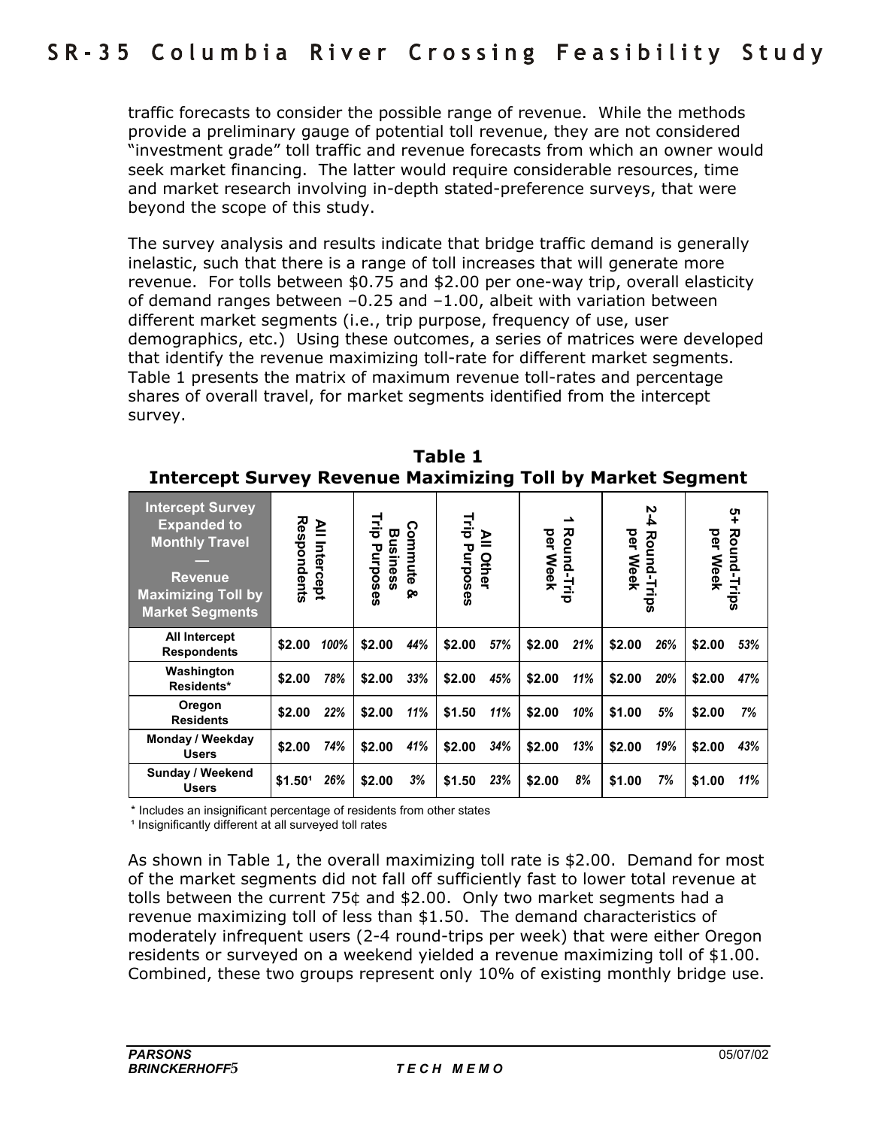traffic forecasts to consider the possible range of revenue. While the methods provide a preliminary gauge of potential toll revenue, they are not considered "investment grade" toll traffic and revenue forecasts from which an owner would seek market financing. The latter would require considerable resources, time and market research involving in-depth stated-preference surveys, that were beyond the scope of this study.

The survey analysis and results indicate that bridge traffic demand is generally inelastic, such that there is a range of toll increases that will generate more revenue. For tolls between \$0.75 and \$2.00 per one-way trip, overall elasticity of demand ranges between  $-0.25$  and  $-1.00$ , albeit with variation between different market segments (i.e., trip purpose, frequency of use, user demographics, etc.) Using these outcomes, a series of matrices were developed that identify the revenue maximizing toll-rate for different market segments. Table 1 presents the matrix of maximum revenue toll-rates and percentage shares of overall travel, for market segments identified from the intercept survey.

| <b>Intercept Survey</b><br><b>Expanded to</b><br><b>Monthly Travel</b><br><b>Revenue</b><br><b>Maximizing Toll by</b><br><b>Market Segments</b> | Respondents         | ≧<br>Intercept | 큹<br>Busines<br>Purposes<br>ũ. | ຕ<br>ommute<br>Q٥ | Trip<br>Purposes | $\mathbf{\underline{\mathsf{P}}}$<br>Other | per<br><b>Neek</b> | ∸<br>Round-Trip | per<br>L<br><b>Week</b> | Ņ<br>4<br>Round-<br>Trips | per<br><b>Meek</b> | ၛ<br><b>Round-Trips</b> |
|-------------------------------------------------------------------------------------------------------------------------------------------------|---------------------|----------------|--------------------------------|-------------------|------------------|--------------------------------------------|--------------------|-----------------|-------------------------|---------------------------|--------------------|-------------------------|
| <b>All Intercept</b><br><b>Respondents</b>                                                                                                      | \$2.00              | 100%           | \$2.00                         | 44%               | \$2.00           | 57%                                        | \$2.00             | 21%             | \$2.00                  | 26%                       | \$2.00             | 53%                     |
| Washington<br>Residents*                                                                                                                        | \$2.00              | 78%            | \$2.00                         | 33%               | \$2.00           | 45%                                        | \$2.00             | 11%             | \$2.00                  | 20%                       | \$2.00             | 47%                     |
| Oregon<br><b>Residents</b>                                                                                                                      | \$2.00              | 22%            | \$2.00                         | 11%               | \$1.50           | 11%                                        | \$2.00             | 10%             | \$1.00                  | 5%                        | \$2.00             | 7%                      |
| Monday / Weekday<br><b>Users</b>                                                                                                                | \$2.00              | 74%            | \$2.00                         | 41%               | \$2.00           | 34%                                        | \$2.00             | 13%             | \$2.00                  | 19%                       | \$2.00             | 43%                     |
| Sunday / Weekend<br><b>Users</b>                                                                                                                | \$1.50 <sup>1</sup> | 26%            | \$2.00                         | 3%                | \$1.50           | 23%                                        | \$2.00             | 8%              | \$1.00                  | 7%                        | \$1.00             | 11%                     |

**Table 1 Intercept Survey Revenue Maximizing Toll by Market Segment** 

\* Includes an insignificant percentage of residents from other states

<sup>1</sup> Insignificantly different at all surveyed toll rates

As shown in Table 1, the overall maximizing toll rate is \$2.00. Demand for most of the market segments did not fall off sufficiently fast to lower total revenue at tolls between the current 75¢ and \$2.00. Only two market segments had a revenue maximizing toll of less than \$1.50. The demand characteristics of moderately infrequent users (2-4 round-trips per week) that were either Oregon residents or surveyed on a weekend yielded a revenue maximizing toll of \$1.00. Combined, these two groups represent only 10% of existing monthly bridge use.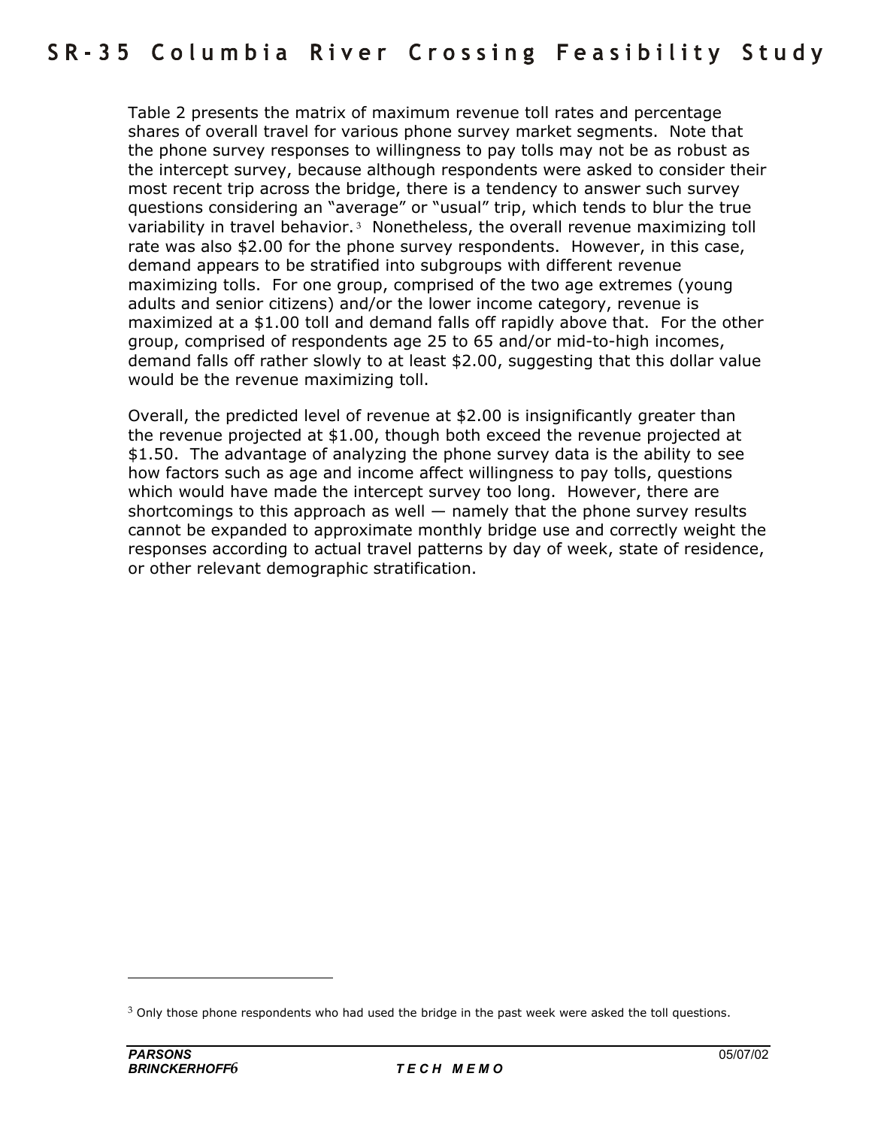Table 2 presents the matrix of maximum revenue toll rates and percentage shares of overall travel for various phone survey market segments. Note that the phone survey responses to willingness to pay tolls may not be as robust as the intercept survey, because although respondents were asked to consider their most recent trip across the bridge, there is a tendency to answer such survey questions considering an "average" or "usual" trip, which tends to blur the true variability in travel behavior.<sup>3</sup> Nonetheless, the overall revenue maximizing toll rate was also \$2.00 for the phone survey respondents. However, in this case, demand appears to be stratified into subgroups with different revenue maximizing tolls. For one group, comprised of the two age extremes (young adults and senior citizens) and/or the lower income category, revenue is maximized at a \$1.00 toll and demand falls off rapidly above that. For the other group, comprised of respondents age 25 to 65 and/or mid-to-high incomes, demand falls off rather slowly to at least \$2.00, suggesting that this dollar value would be the revenue maximizing toll.

Overall, the predicted level of revenue at \$2.00 is insignificantly greater than the revenue projected at \$1.00, though both exceed the revenue projected at \$1.50. The advantage of analyzing the phone survey data is the ability to see how factors such as age and income affect willingness to pay tolls, questions which would have made the intercept survey too long. However, there are shortcomings to this approach as well  $-$  namely that the phone survey results cannot be expanded to approximate monthly bridge use and correctly weight the responses according to actual travel patterns by day of week, state of residence, or other relevant demographic stratification.

 $3$  Only those phone respondents who had used the bridge in the past week were asked the toll questions.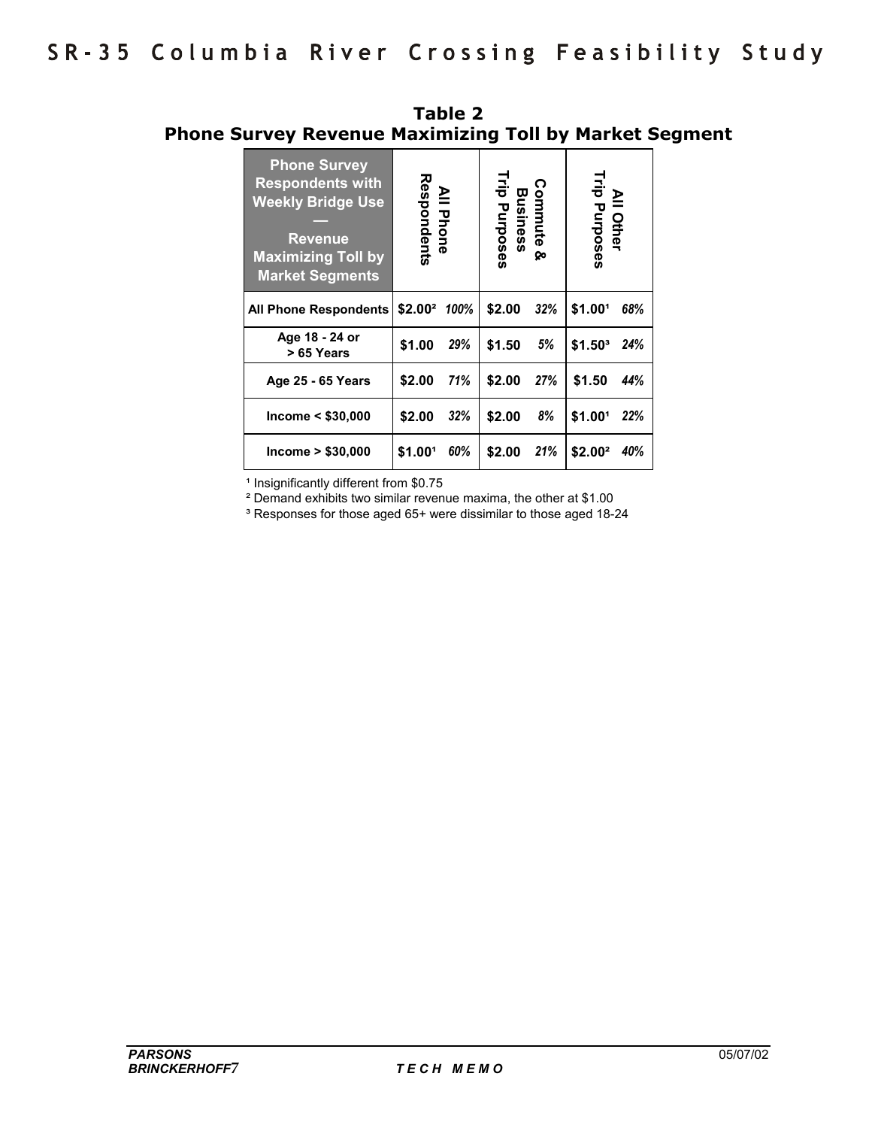| <b>Phone Survey</b><br><b>Respondents with</b><br><b>Weekly Bridge Use</b><br><b>Revenue</b><br><b>Maximizing Toll by</b><br><b>Market Segments</b>                                                                 | Respondents<br><b>All Phone</b> |      | Trip Purposes | Commute &<br>Business<br>ଡ଼ | All Other<br>Trip Purposes |     |
|---------------------------------------------------------------------------------------------------------------------------------------------------------------------------------------------------------------------|---------------------------------|------|---------------|-----------------------------|----------------------------|-----|
| <b>All Phone Respondents</b>                                                                                                                                                                                        | \$2.00 <sup>2</sup>             | 100% | \$2.00        | 32%                         | \$1.00 <sup>1</sup>        | 68% |
| Age 18 - 24 or<br>> 65 Years                                                                                                                                                                                        | \$1.00                          | 29%  | \$1.50        | 5%                          | $$1.50^3$                  | 24% |
| Age 25 - 65 Years                                                                                                                                                                                                   | \$2.00                          | 71%  | \$2.00        | 27%                         | \$1.50                     | 44% |
| Income $<$ \$30,000                                                                                                                                                                                                 | \$2.00                          | 32%  | \$2.00        | 8%                          | \$1.001                    | 22% |
| Income > \$30,000                                                                                                                                                                                                   | \$1.001                         | 60%  | \$2.00        | 21%                         | \$2.00 <sup>2</sup>        | 40% |
| <sup>1</sup> Insignificantly different from \$0.75<br><sup>2</sup> Demand exhibits two similar revenue maxima, the other at \$1.00<br><sup>3</sup> Responses for those aged 65+ were dissimilar to those aged 18-24 |                                 |      |               |                             |                            |     |

**Table 2 Phone Survey Revenue Maximizing Toll by Market Segment**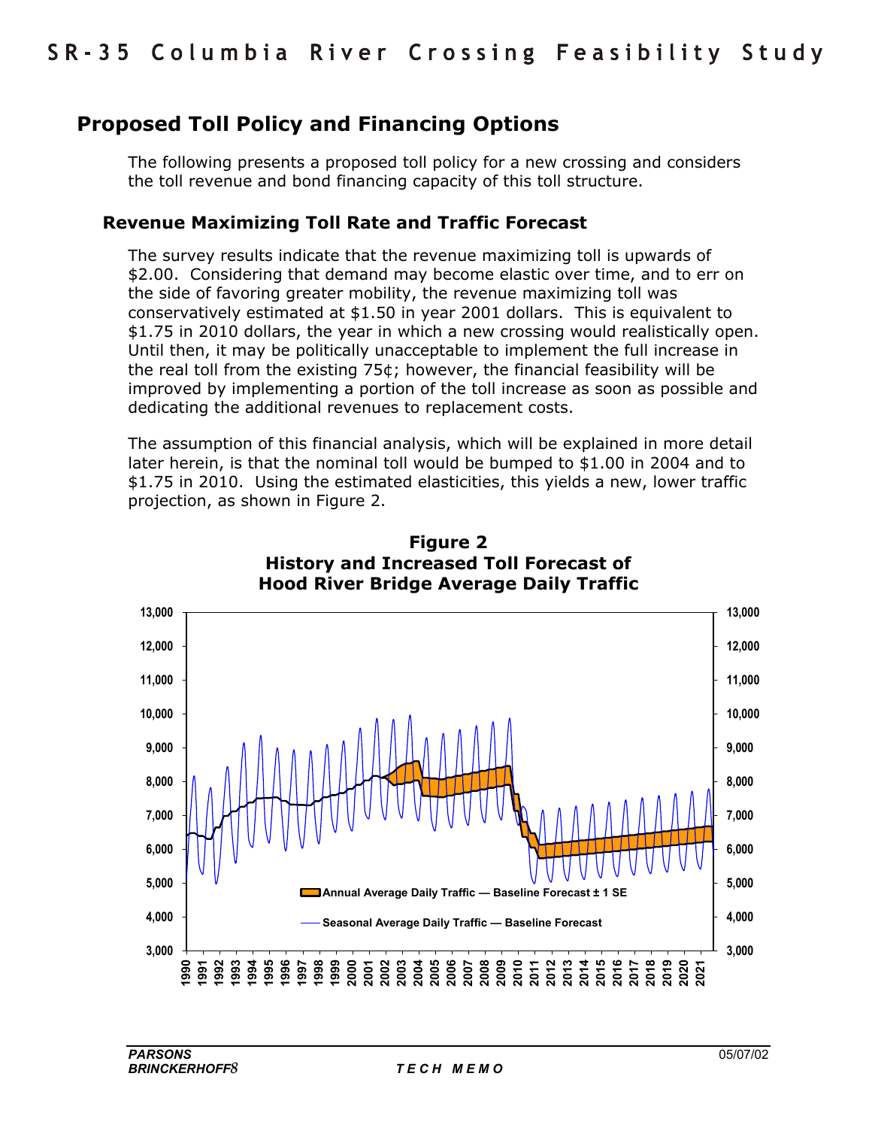# **Proposed Toll Policy and Financing Options**

The following presents a proposed toll policy for a new crossing and considers the toll revenue and bond financing capacity of this toll structure.

### **Revenue Maximizing Toll Rate and Traffic Forecast**

The survey results indicate that the revenue maximizing toll is upwards of \$2.00. Considering that demand may become elastic over time, and to err on the side of favoring greater mobility, the revenue maximizing toll was conservatively estimated at \$1.50 in year 2001 dollars. This is equivalent to \$1.75 in 2010 dollars, the year in which a new crossing would realistically open. Until then, it may be politically unacceptable to implement the full increase in the real toll from the existing 75¢; however, the financial feasibility will be improved by implementing a portion of the toll increase as soon as possible and dedicating the additional revenues to replacement costs.

The assumption of this financial analysis, which will be explained in more detail later herein, is that the nominal toll would be bumped to \$1.00 in 2004 and to \$1.75 in 2010. Using the estimated elasticities, this yields a new, lower traffic projection, as shown in Figure 2.



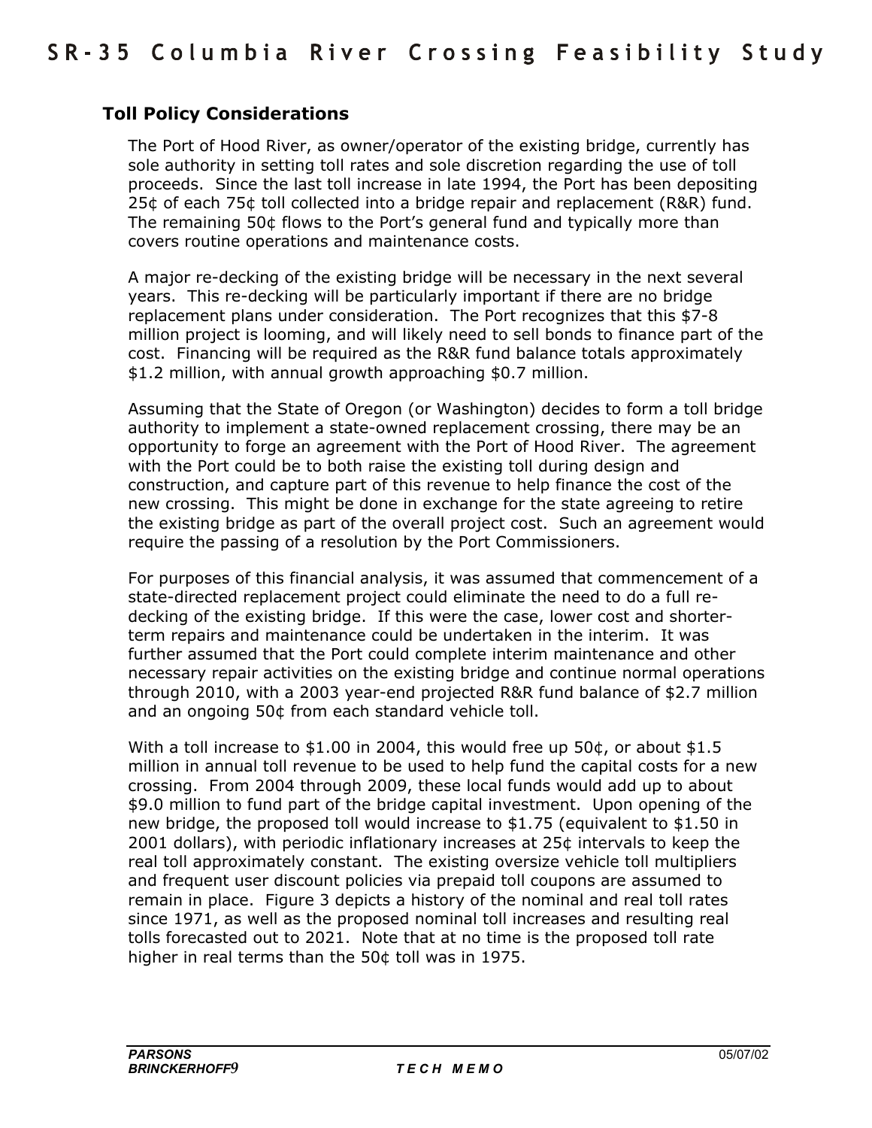# **Toll Policy Considerations**

The Port of Hood River, as owner/operator of the existing bridge, currently has sole authority in setting toll rates and sole discretion regarding the use of toll proceeds. Since the last toll increase in late 1994, the Port has been depositing 25¢ of each 75¢ toll collected into a bridge repair and replacement (R&R) fund. The remaining 50¢ flows to the Portís general fund and typically more than covers routine operations and maintenance costs.

A major re-decking of the existing bridge will be necessary in the next several years. This re-decking will be particularly important if there are no bridge replacement plans under consideration. The Port recognizes that this \$7-8 million project is looming, and will likely need to sell bonds to finance part of the cost. Financing will be required as the R&R fund balance totals approximately \$1.2 million, with annual growth approaching \$0.7 million.

Assuming that the State of Oregon (or Washington) decides to form a toll bridge authority to implement a state-owned replacement crossing, there may be an opportunity to forge an agreement with the Port of Hood River. The agreement with the Port could be to both raise the existing toll during design and construction, and capture part of this revenue to help finance the cost of the new crossing. This might be done in exchange for the state agreeing to retire the existing bridge as part of the overall project cost. Such an agreement would require the passing of a resolution by the Port Commissioners.

For purposes of this financial analysis, it was assumed that commencement of a state-directed replacement project could eliminate the need to do a full redecking of the existing bridge. If this were the case, lower cost and shorterterm repairs and maintenance could be undertaken in the interim. It was further assumed that the Port could complete interim maintenance and other necessary repair activities on the existing bridge and continue normal operations through 2010, with a 2003 year-end projected R&R fund balance of \$2.7 million and an ongoing 50¢ from each standard vehicle toll.

With a toll increase to \$1.00 in 2004, this would free up 50 $\phi$ , or about \$1.5 million in annual toll revenue to be used to help fund the capital costs for a new crossing. From 2004 through 2009, these local funds would add up to about \$9.0 million to fund part of the bridge capital investment. Upon opening of the new bridge, the proposed toll would increase to \$1.75 (equivalent to \$1.50 in 2001 dollars), with periodic inflationary increases at 25¢ intervals to keep the real toll approximately constant. The existing oversize vehicle toll multipliers and frequent user discount policies via prepaid toll coupons are assumed to remain in place. Figure 3 depicts a history of the nominal and real toll rates since 1971, as well as the proposed nominal toll increases and resulting real tolls forecasted out to 2021. Note that at no time is the proposed toll rate higher in real terms than the 50¢ toll was in 1975.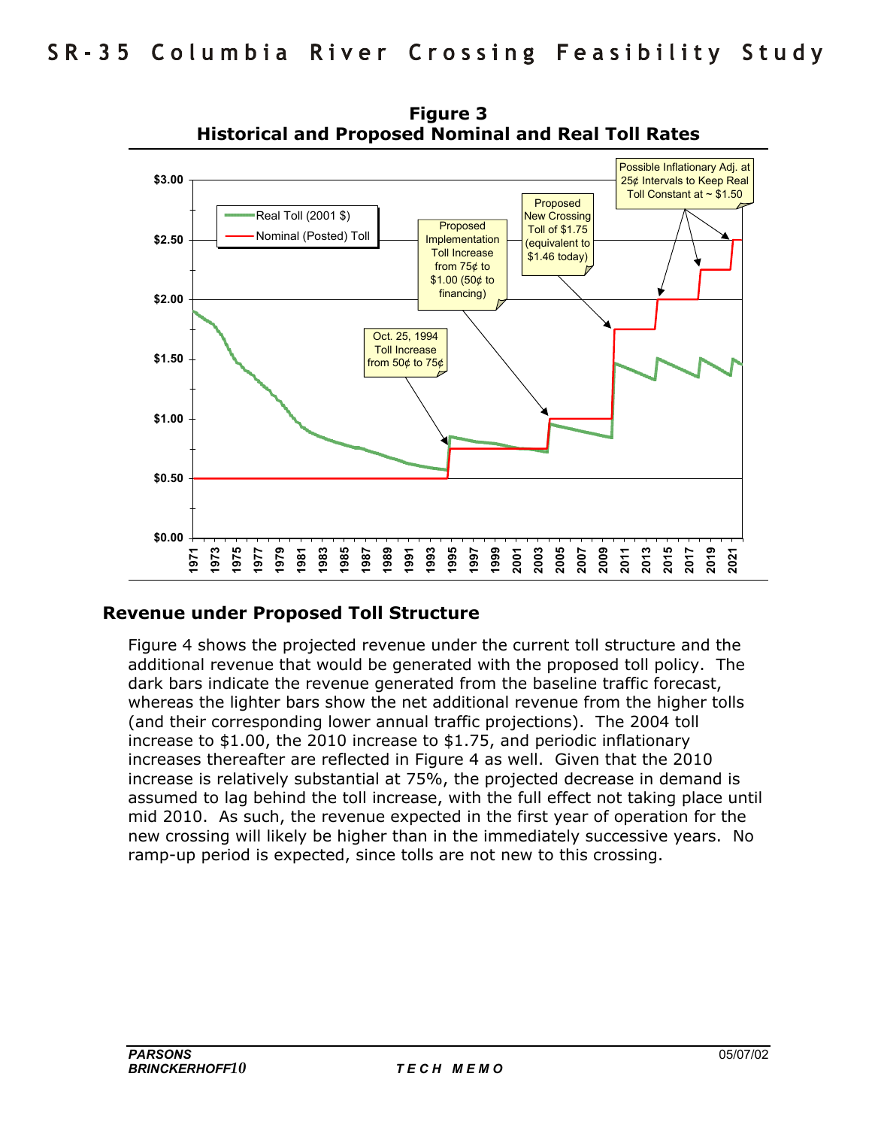

**Figure 3 Historical and Proposed Nominal and Real Toll Rates** 

#### **Revenue under Proposed Toll Structure**

Figure 4 shows the projected revenue under the current toll structure and the additional revenue that would be generated with the proposed toll policy. The dark bars indicate the revenue generated from the baseline traffic forecast, whereas the lighter bars show the net additional revenue from the higher tolls (and their corresponding lower annual traffic projections). The 2004 toll increase to \$1.00, the 2010 increase to \$1.75, and periodic inflationary increases thereafter are reflected in Figure 4 as well. Given that the 2010 increase is relatively substantial at 75%, the projected decrease in demand is assumed to lag behind the toll increase, with the full effect not taking place until mid 2010. As such, the revenue expected in the first year of operation for the new crossing will likely be higher than in the immediately successive years. No ramp-up period is expected, since tolls are not new to this crossing.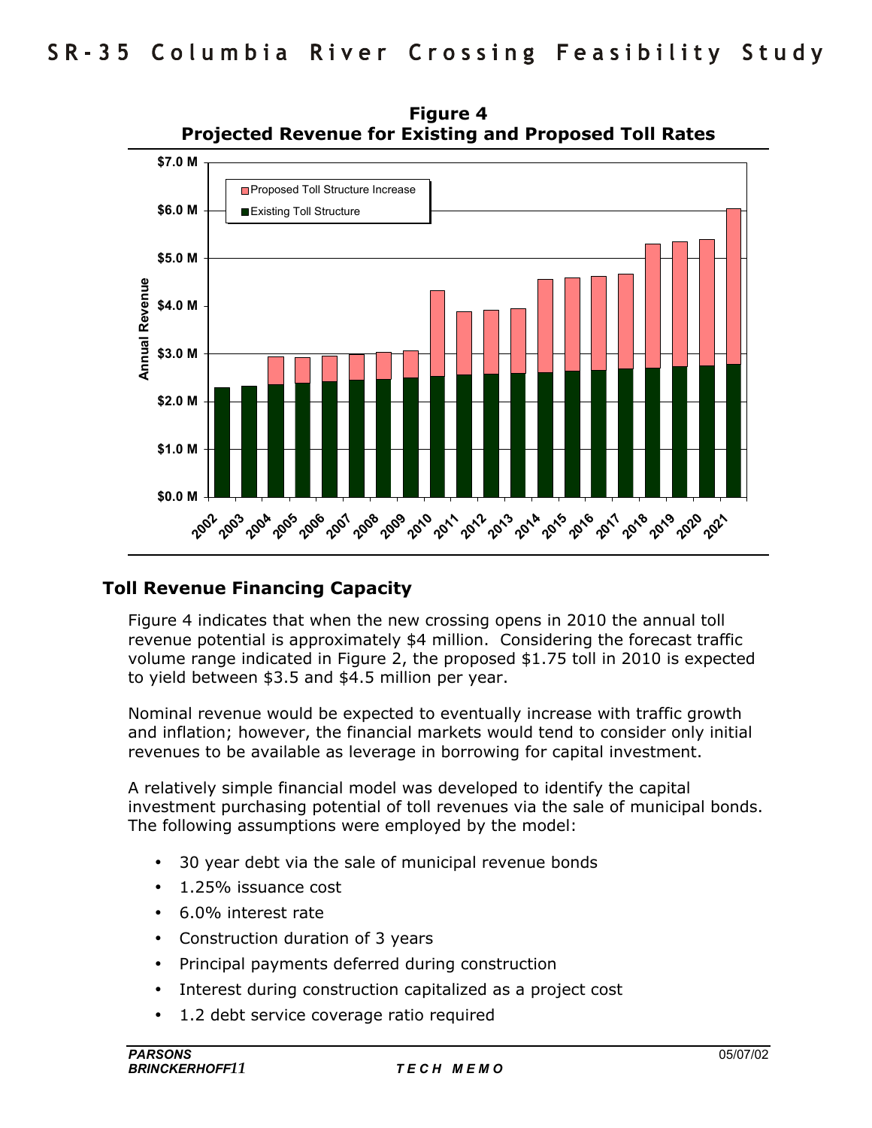

**Figure 4 Projected Revenue for Existing and Proposed Toll Rates** 

# **Toll Revenue Financing Capacity**

Figure 4 indicates that when the new crossing opens in 2010 the annual toll revenue potential is approximately \$4 million. Considering the forecast traffic volume range indicated in Figure 2, the proposed \$1.75 toll in 2010 is expected to yield between \$3.5 and \$4.5 million per year.

Nominal revenue would be expected to eventually increase with traffic growth and inflation; however, the financial markets would tend to consider only initial revenues to be available as leverage in borrowing for capital investment.

A relatively simple financial model was developed to identify the capital investment purchasing potential of toll revenues via the sale of municipal bonds. The following assumptions were employed by the model:

- 30 year debt via the sale of municipal revenue bonds
- 1.25% issuance cost
- 6.0% interest rate
- Construction duration of 3 years
- Principal payments deferred during construction
- Interest during construction capitalized as a project cost
- 1.2 debt service coverage ratio required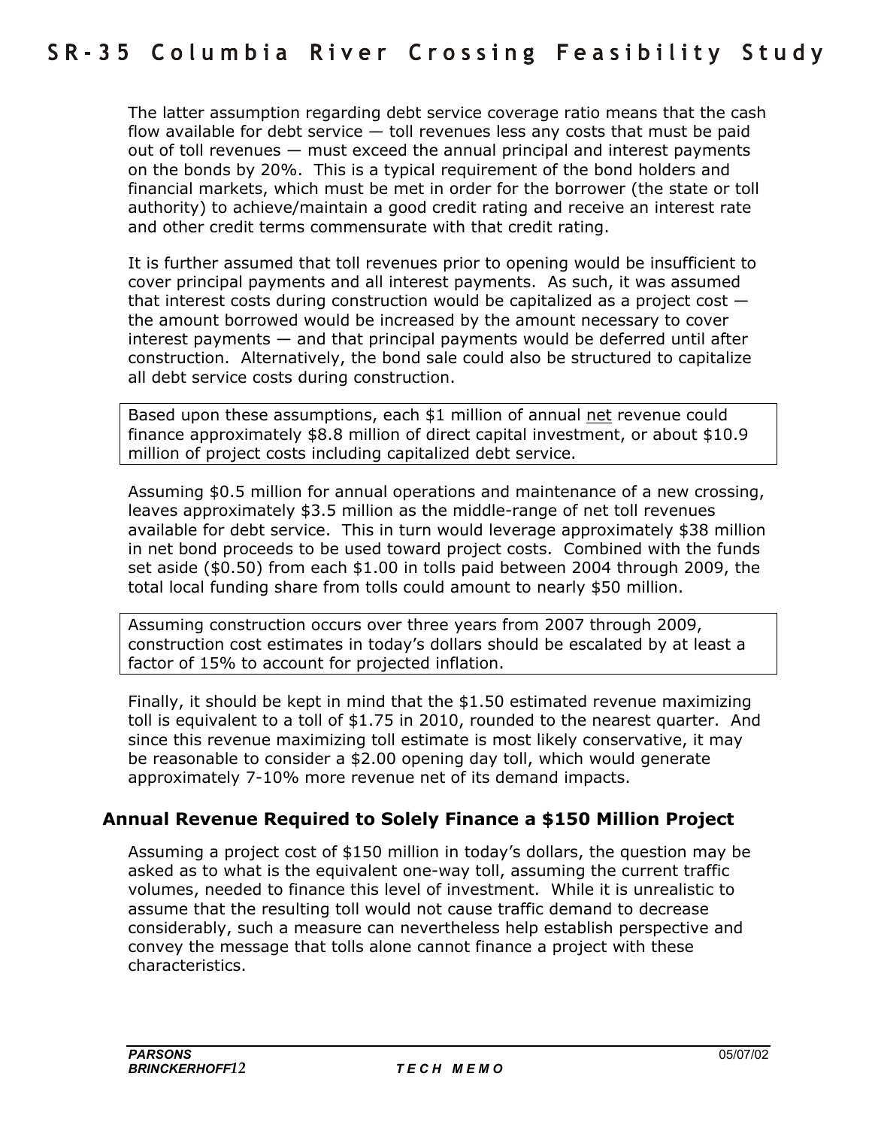The latter assumption regarding debt service coverage ratio means that the cash flow available for debt service  $-$  toll revenues less any costs that must be paid out of toll revenues  $-$  must exceed the annual principal and interest payments on the bonds by 20%. This is a typical requirement of the bond holders and financial markets, which must be met in order for the borrower (the state or toll authority) to achieve/maintain a good credit rating and receive an interest rate and other credit terms commensurate with that credit rating.

It is further assumed that toll revenues prior to opening would be insufficient to cover principal payments and all interest payments. As such, it was assumed that interest costs during construction would be capitalized as a project cost  $$ the amount borrowed would be increased by the amount necessary to cover interest payments  $-$  and that principal payments would be deferred until after construction. Alternatively, the bond sale could also be structured to capitalize all debt service costs during construction.

Based upon these assumptions, each \$1 million of annual net revenue could finance approximately \$8.8 million of direct capital investment, or about \$10.9 million of project costs including capitalized debt service.

Assuming \$0.5 million for annual operations and maintenance of a new crossing, leaves approximately \$3.5 million as the middle-range of net toll revenues available for debt service. This in turn would leverage approximately \$38 million in net bond proceeds to be used toward project costs. Combined with the funds set aside (\$0.50) from each \$1.00 in tolls paid between 2004 through 2009, the total local funding share from tolls could amount to nearly \$50 million.

Assuming construction occurs over three years from 2007 through 2009, construction cost estimates in todayís dollars should be escalated by at least a factor of 15% to account for projected inflation.

Finally, it should be kept in mind that the \$1.50 estimated revenue maximizing toll is equivalent to a toll of \$1.75 in 2010, rounded to the nearest quarter. And since this revenue maximizing toll estimate is most likely conservative, it may be reasonable to consider a \$2.00 opening day toll, which would generate approximately 7-10% more revenue net of its demand impacts.

# **Annual Revenue Required to Solely Finance a \$150 Million Project**

Assuming a project cost of \$150 million in todayís dollars, the question may be asked as to what is the equivalent one-way toll, assuming the current traffic volumes, needed to finance this level of investment. While it is unrealistic to assume that the resulting toll would not cause traffic demand to decrease considerably, such a measure can nevertheless help establish perspective and convey the message that tolls alone cannot finance a project with these characteristics.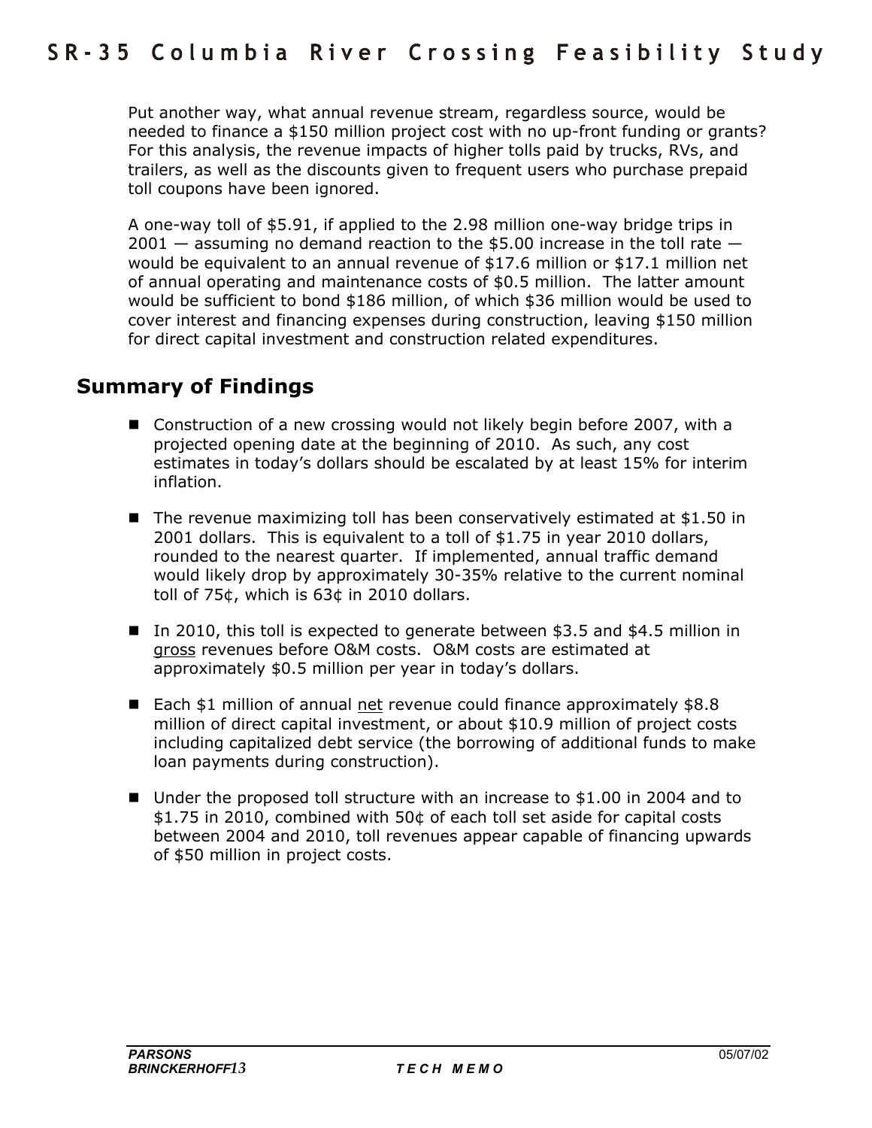Put another way, what annual revenue stream, regardless source, would be needed to finance a \$150 million project cost with no up-front funding or grants? For this analysis, the revenue impacts of higher tolls paid by trucks, RVs, and trailers, as well as the discounts given to frequent users who purchase prepaid toll coupons have been ignored.

A one-way toll of \$5.91, if applied to the 2.98 million one-way bridge trips in 2001 – assuming no demand reaction to the \$5.00 increase in the toll rate  $$ would be equivalent to an annual revenue of \$17.6 million or \$17.1 million net of annual operating and maintenance costs of \$0.5 million. The latter amount would be sufficient to bond \$186 million, of which \$36 million would be used to cover interest and financing expenses during construction, leaving \$150 million for direct capital investment and construction related expenditures.

# **Summary of Findings**

- Construction of a new crossing would not likely begin before 2007, with a projected opening date at the beginning of 2010. As such, any cost estimates in today's dollars should be escalated by at least 15% for interim inflation.
- The revenue maximizing toll has been conservatively estimated at \$1.50 in 2001 dollars. This is equivalent to a toll of \$1.75 in year 2010 dollars, rounded to the nearest quarter. If implemented, annual traffic demand would likely drop by approximately 30-35% relative to the current nominal toll of 75¢, which is 63¢ in 2010 dollars.
- In 2010, this toll is expected to generate between \$3.5 and \$4.5 million in gross revenues before O&M costs. O&M costs are estimated at approximately \$0.5 million per year in today's dollars.
- Each \$1 million of annual net revenue could finance approximately \$8.8 million of direct capital investment, or about \$10.9 million of project costs including capitalized debt service (the borrowing of additional funds to make loan payments during construction).
- Under the proposed toll structure with an increase to \$1.00 in 2004 and to \$1.75 in 2010, combined with 50¢ of each toll set aside for capital costs between 2004 and 2010, toll revenues appear capable of financing upwards of \$50 million in project costs.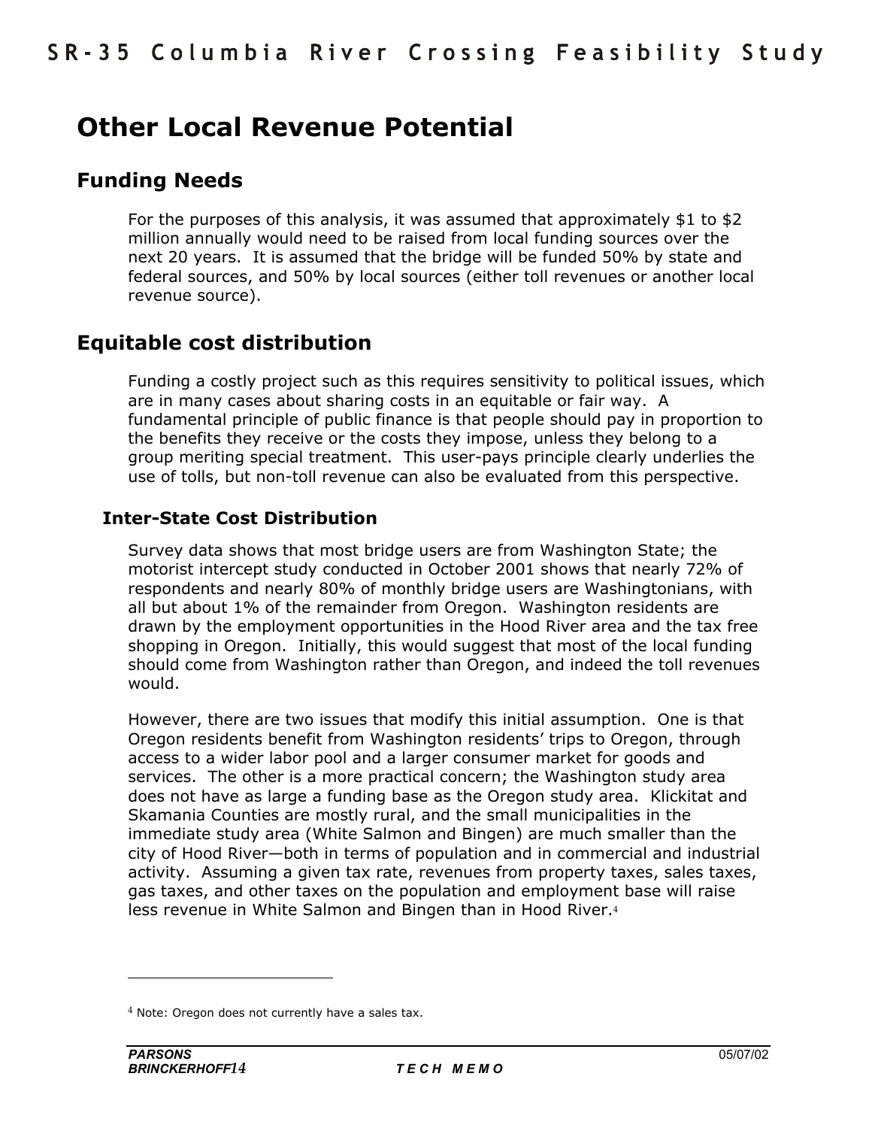# **Other Local Revenue Potential**

# **Funding Needs**

For the purposes of this analysis, it was assumed that approximately \$1 to \$2 million annually would need to be raised from local funding sources over the next 20 years. It is assumed that the bridge will be funded 50% by state and federal sources, and 50% by local sources (either toll revenues or another local revenue source).

# **Equitable cost distribution**

Funding a costly project such as this requires sensitivity to political issues, which are in many cases about sharing costs in an equitable or fair way. A fundamental principle of public finance is that people should pay in proportion to the benefits they receive or the costs they impose, unless they belong to a group meriting special treatment. This user-pays principle clearly underlies the use of tolls, but non-toll revenue can also be evaluated from this perspective.

# **Inter-State Cost Distribution**

Survey data shows that most bridge users are from Washington State; the motorist intercept study conducted in October 2001 shows that nearly 72% of respondents and nearly 80% of monthly bridge users are Washingtonians, with all but about 1% of the remainder from Oregon. Washington residents are drawn by the employment opportunities in the Hood River area and the tax free shopping in Oregon. Initially, this would suggest that most of the local funding should come from Washington rather than Oregon, and indeed the toll revenues would.

However, there are two issues that modify this initial assumption. One is that Oregon residents benefit from Washington residentsí trips to Oregon, through access to a wider labor pool and a larger consumer market for goods and services. The other is a more practical concern; the Washington study area does not have as large a funding base as the Oregon study area. Klickitat and Skamania Counties are mostly rural, and the small municipalities in the immediate study area (White Salmon and Bingen) are much smaller than the city of Hood River-both in terms of population and in commercial and industrial activity. Assuming a given tax rate, revenues from property taxes, sales taxes, gas taxes, and other taxes on the population and employment base will raise less revenue in White Salmon and Bingen than in Hood River.<sup>4</sup>

 $4$  Note: Oregon does not currently have a sales tax.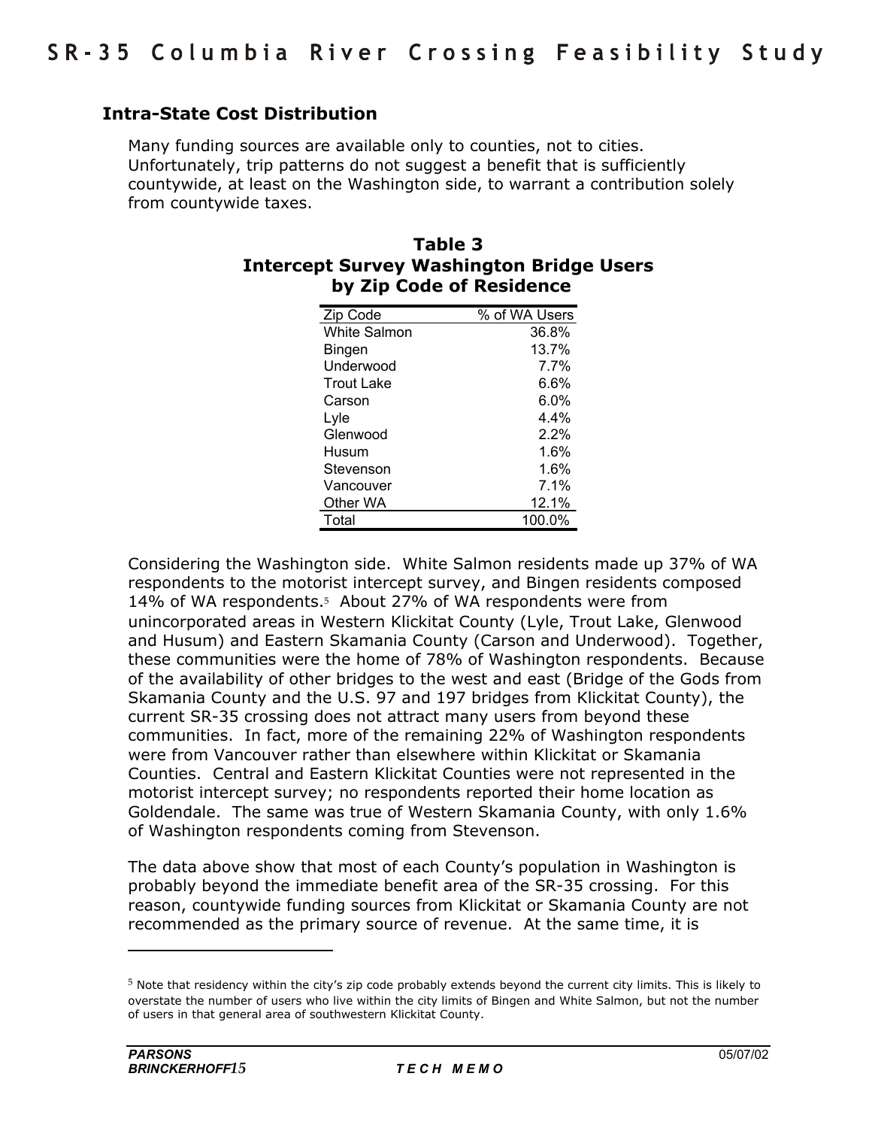### **Intra-State Cost Distribution**

Many funding sources are available only to counties, not to cities. Unfortunately, trip patterns do not suggest a benefit that is sufficiently countywide, at least on the Washington side, to warrant a contribution solely from countywide taxes.

| Table 3                                         |
|-------------------------------------------------|
| <b>Intercept Survey Washington Bridge Users</b> |
| by Zip Code of Residence                        |

| Zip Code          | % of WA Users |
|-------------------|---------------|
| White Salmon      | 36.8%         |
| Bingen            | 13.7%         |
| Underwood         | 7.7%          |
| <b>Trout Lake</b> | 6.6%          |
| Carson            | $6.0\%$       |
| Lyle              | 4.4%          |
| Glenwood          | 2.2%          |
| Husum             | 1.6%          |
| Stevenson         | 1.6%          |
| Vancouver         | 7.1%          |
| Other WA          | 12.1%         |
| Total             | 100.0%        |

Considering the Washington side. White Salmon residents made up 37% of WA respondents to the motorist intercept survey, and Bingen residents composed 14% of WA respondents.<sup>5</sup> About 27% of WA respondents were from unincorporated areas in Western Klickitat County (Lyle, Trout Lake, Glenwood and Husum) and Eastern Skamania County (Carson and Underwood). Together, these communities were the home of 78% of Washington respondents. Because of the availability of other bridges to the west and east (Bridge of the Gods from Skamania County and the U.S. 97 and 197 bridges from Klickitat County), the current SR-35 crossing does not attract many users from beyond these communities. In fact, more of the remaining 22% of Washington respondents were from Vancouver rather than elsewhere within Klickitat or Skamania Counties. Central and Eastern Klickitat Counties were not represented in the motorist intercept survey; no respondents reported their home location as Goldendale. The same was true of Western Skamania County, with only 1.6% of Washington respondents coming from Stevenson.

The data above show that most of each Countyís population in Washington is probably beyond the immediate benefit area of the SR-35 crossing. For this reason, countywide funding sources from Klickitat or Skamania County are not recommended as the primary source of revenue. At the same time, it is

 $5$  Note that residency within the city's zip code probably extends beyond the current city limits. This is likely to overstate the number of users who live within the city limits of Bingen and White Salmon, but not the number of users in that general area of southwestern Klickitat County.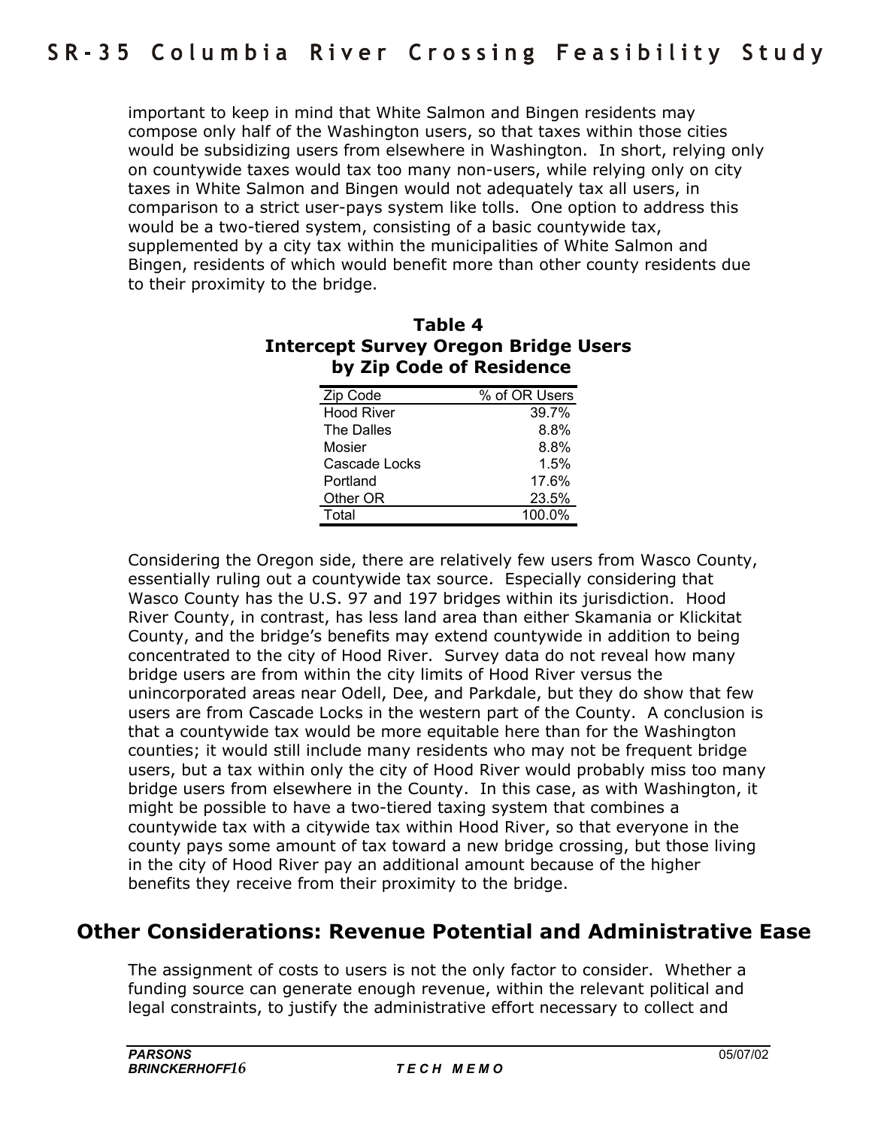important to keep in mind that White Salmon and Bingen residents may compose only half of the Washington users, so that taxes within those cities would be subsidizing users from elsewhere in Washington. In short, relying only on countywide taxes would tax too many non-users, while relying only on city taxes in White Salmon and Bingen would not adequately tax all users, in comparison to a strict user-pays system like tolls. One option to address this would be a two-tiered system, consisting of a basic countywide tax, supplemented by a city tax within the municipalities of White Salmon and Bingen, residents of which would benefit more than other county residents due to their proximity to the bridge.

| .<br>יוטטאו וט טשט |               |
|--------------------|---------------|
| Zip Code           | % of OR Users |
| <b>Hood River</b>  | 39.7%         |
| The Dalles         | 8.8%          |
| Mosier             | 8.8%          |
| Cascade Locks      | 1.5%          |
| Portland           | 17.6%         |
| Other OR           | 23.5%         |
| Total              | 100.0%        |

### **Table 4 Intercept Survey Oregon Bridge Users by Zip Code of Residence**

Considering the Oregon side, there are relatively few users from Wasco County, essentially ruling out a countywide tax source. Especially considering that Wasco County has the U.S. 97 and 197 bridges within its jurisdiction. Hood River County, in contrast, has less land area than either Skamania or Klickitat County, and the bridgeís benefits may extend countywide in addition to being concentrated to the city of Hood River. Survey data do not reveal how many bridge users are from within the city limits of Hood River versus the unincorporated areas near Odell, Dee, and Parkdale, but they do show that few users are from Cascade Locks in the western part of the County. A conclusion is that a countywide tax would be more equitable here than for the Washington counties; it would still include many residents who may not be frequent bridge users, but a tax within only the city of Hood River would probably miss too many bridge users from elsewhere in the County. In this case, as with Washington, it might be possible to have a two-tiered taxing system that combines a countywide tax with a citywide tax within Hood River, so that everyone in the county pays some amount of tax toward a new bridge crossing, but those living in the city of Hood River pay an additional amount because of the higher benefits they receive from their proximity to the bridge.

# **Other Considerations: Revenue Potential and Administrative Ease**

The assignment of costs to users is not the only factor to consider. Whether a funding source can generate enough revenue, within the relevant political and legal constraints, to justify the administrative effort necessary to collect and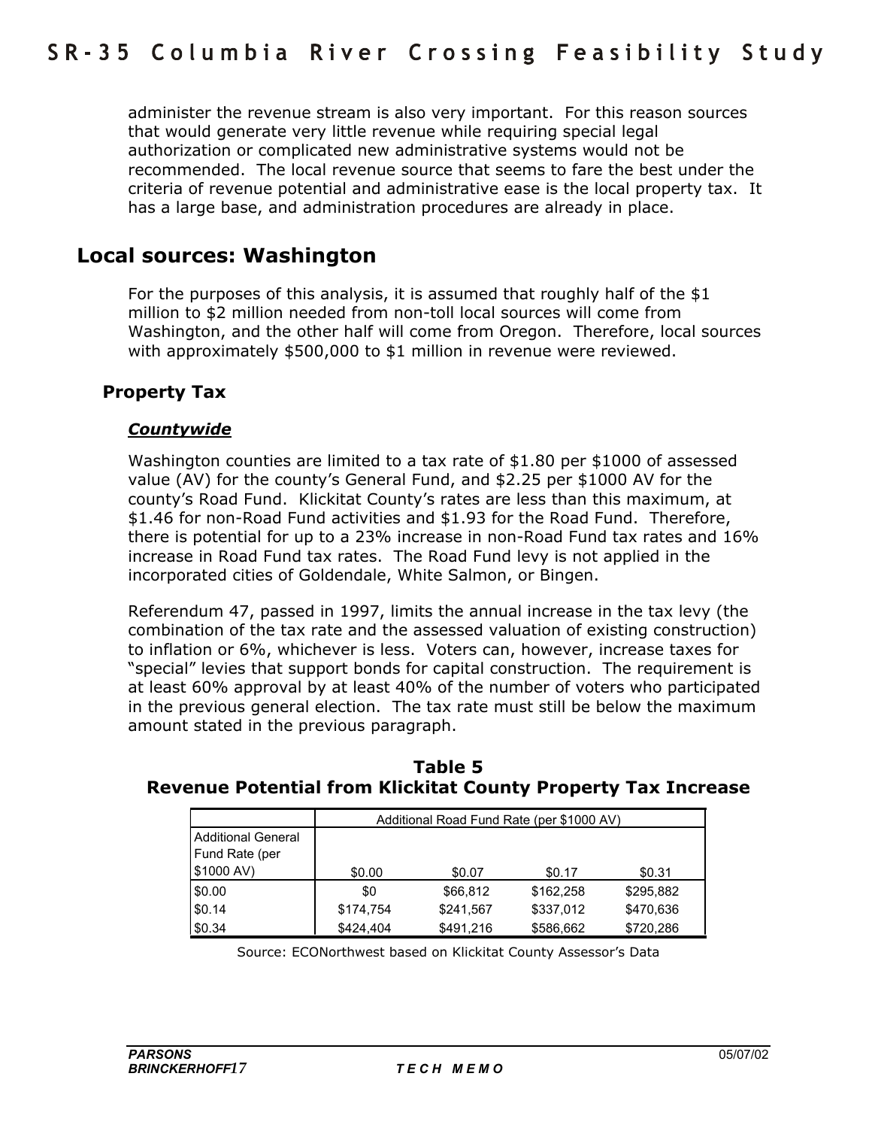administer the revenue stream is also very important. For this reason sources that would generate very little revenue while requiring special legal authorization or complicated new administrative systems would not be recommended. The local revenue source that seems to fare the best under the criteria of revenue potential and administrative ease is the local property tax. It has a large base, and administration procedures are already in place.

# **Local sources: Washington**

For the purposes of this analysis, it is assumed that roughly half of the \$1 million to \$2 million needed from non-toll local sources will come from Washington, and the other half will come from Oregon. Therefore, local sources with approximately \$500,000 to \$1 million in revenue were reviewed.

### **Property Tax**

#### *Countywide*

Washington counties are limited to a tax rate of \$1.80 per \$1000 of assessed value (AV) for the countyís General Fund, and \$2.25 per \$1000 AV for the countyís Road Fund. Klickitat Countyís rates are less than this maximum, at \$1.46 for non-Road Fund activities and \$1.93 for the Road Fund. Therefore, there is potential for up to a 23% increase in non-Road Fund tax rates and 16% increase in Road Fund tax rates. The Road Fund levy is not applied in the incorporated cities of Goldendale, White Salmon, or Bingen.

Referendum 47, passed in 1997, limits the annual increase in the tax levy (the combination of the tax rate and the assessed valuation of existing construction) to inflation or 6%, whichever is less. Voters can, however, increase taxes for "special" levies that support bonds for capital construction. The requirement is at least 60% approval by at least 40% of the number of voters who participated in the previous general election. The tax rate must still be below the maximum amount stated in the previous paragraph.

|                           | Additional Road Fund Rate (per \$1000 AV) |           |           |           |  |  |  |  |
|---------------------------|-------------------------------------------|-----------|-----------|-----------|--|--|--|--|
| <b>Additional General</b> |                                           |           |           |           |  |  |  |  |
| Fund Rate (per            |                                           |           |           |           |  |  |  |  |
| \$1000 AV)                | \$0.00                                    | \$0.07    | \$0.17    | \$0.31    |  |  |  |  |
| \$0.00                    | \$0                                       | \$66,812  | \$162,258 | \$295,882 |  |  |  |  |
| \$0.14                    | \$174,754                                 | \$241,567 | \$337,012 | \$470,636 |  |  |  |  |
| \$0.34                    | \$424.404                                 | \$491.216 | \$586,662 | \$720,286 |  |  |  |  |

**Table 5 Revenue Potential from Klickitat County Property Tax Increase** 

Source: ECONorthwest based on Klickitat County Assessor's Data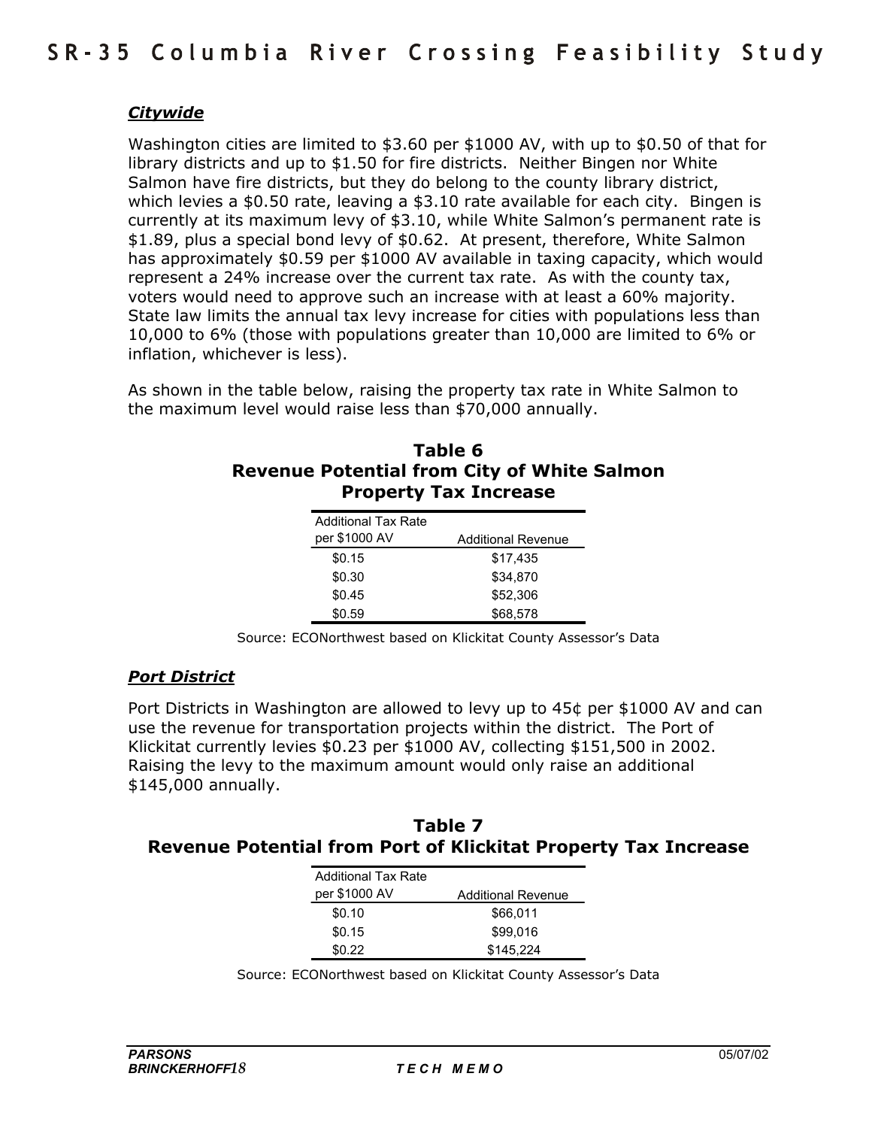### *Citywide*

Washington cities are limited to \$3.60 per \$1000 AV, with up to \$0.50 of that for library districts and up to \$1.50 for fire districts. Neither Bingen nor White Salmon have fire districts, but they do belong to the county library district, which levies a \$0.50 rate, leaving a \$3.10 rate available for each city. Bingen is currently at its maximum levy of \$3.10, while White Salmonís permanent rate is \$1.89, plus a special bond levy of \$0.62. At present, therefore, White Salmon has approximately \$0.59 per \$1000 AV available in taxing capacity, which would represent a 24% increase over the current tax rate. As with the county tax, voters would need to approve such an increase with at least a 60% majority. State law limits the annual tax levy increase for cities with populations less than 10,000 to 6% (those with populations greater than 10,000 are limited to 6% or inflation, whichever is less).

As shown in the table below, raising the property tax rate in White Salmon to the maximum level would raise less than \$70,000 annually.

# **Table 6 Revenue Potential from City of White Salmon Property Tax Increase**

| <b>Additional Tax Rate</b> |                           |
|----------------------------|---------------------------|
| per \$1000 AV              | <b>Additional Revenue</b> |
| \$0.15                     | \$17,435                  |
| \$0.30                     | \$34.870                  |
| \$0.45                     | \$52,306                  |
| \$0.59                     | \$68.578                  |

Source: ECONorthwest based on Klickitat County Assessor's Data

#### *Port District*

Port Districts in Washington are allowed to levy up to 45¢ per \$1000 AV and can use the revenue for transportation projects within the district. The Port of Klickitat currently levies \$0.23 per \$1000 AV, collecting \$151,500 in 2002. Raising the levy to the maximum amount would only raise an additional \$145,000 annually.

#### **Table 7 Revenue Potential from Port of Klickitat Property Tax Increase**

| <b>Additional Tax Rate</b> |                           |
|----------------------------|---------------------------|
| per \$1000 AV              | <b>Additional Revenue</b> |
| \$0.10                     | \$66,011                  |
| \$0.15                     | \$99,016                  |
| \$0.22                     | \$145,224                 |

Source: ECONorthwest based on Klickitat County Assessor's Data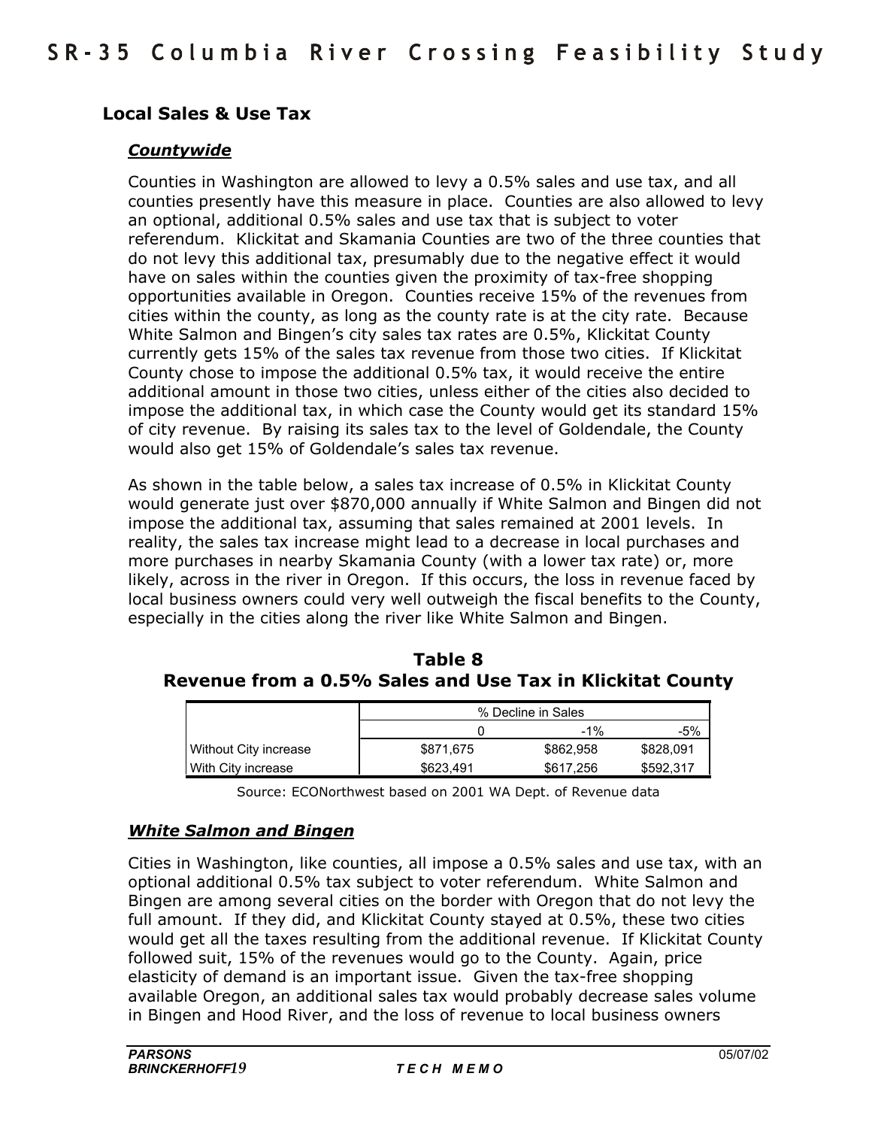# **Local Sales & Use Tax**

#### *Countywide*

Counties in Washington are allowed to levy a 0.5% sales and use tax, and all counties presently have this measure in place. Counties are also allowed to levy an optional, additional 0.5% sales and use tax that is subject to voter referendum. Klickitat and Skamania Counties are two of the three counties that do not levy this additional tax, presumably due to the negative effect it would have on sales within the counties given the proximity of tax-free shopping opportunities available in Oregon. Counties receive 15% of the revenues from cities within the county, as long as the county rate is at the city rate. Because White Salmon and Bingen's city sales tax rates are 0.5%, Klickitat County currently gets 15% of the sales tax revenue from those two cities. If Klickitat County chose to impose the additional 0.5% tax, it would receive the entire additional amount in those two cities, unless either of the cities also decided to impose the additional tax, in which case the County would get its standard 15% of city revenue. By raising its sales tax to the level of Goldendale, the County would also get 15% of Goldendaleís sales tax revenue.

As shown in the table below, a sales tax increase of 0.5% in Klickitat County would generate just over \$870,000 annually if White Salmon and Bingen did not impose the additional tax, assuming that sales remained at 2001 levels. In reality, the sales tax increase might lead to a decrease in local purchases and more purchases in nearby Skamania County (with a lower tax rate) or, more likely, across in the river in Oregon. If this occurs, the loss in revenue faced by local business owners could very well outweigh the fiscal benefits to the County, especially in the cities along the river like White Salmon and Bingen.

| Table 8                                                   |  |  |
|-----------------------------------------------------------|--|--|
| Revenue from a 0.5% Sales and Use Tax in Klickitat County |  |  |

|                       | % Decline in Sales |           |           |
|-----------------------|--------------------|-----------|-----------|
|                       |                    | $-1\%$    | -5%       |
| Without City increase | \$871.675          | \$862,958 | \$828,091 |
| With City increase    | \$623.491          | \$617,256 | \$592.317 |

Source: ECONorthwest based on 2001 WA Dept. of Revenue data

#### *White Salmon and Bingen*

Cities in Washington, like counties, all impose a 0.5% sales and use tax, with an optional additional 0.5% tax subject to voter referendum. White Salmon and Bingen are among several cities on the border with Oregon that do not levy the full amount. If they did, and Klickitat County stayed at 0.5%, these two cities would get all the taxes resulting from the additional revenue. If Klickitat County followed suit, 15% of the revenues would go to the County. Again, price elasticity of demand is an important issue. Given the tax-free shopping available Oregon, an additional sales tax would probably decrease sales volume in Bingen and Hood River, and the loss of revenue to local business owners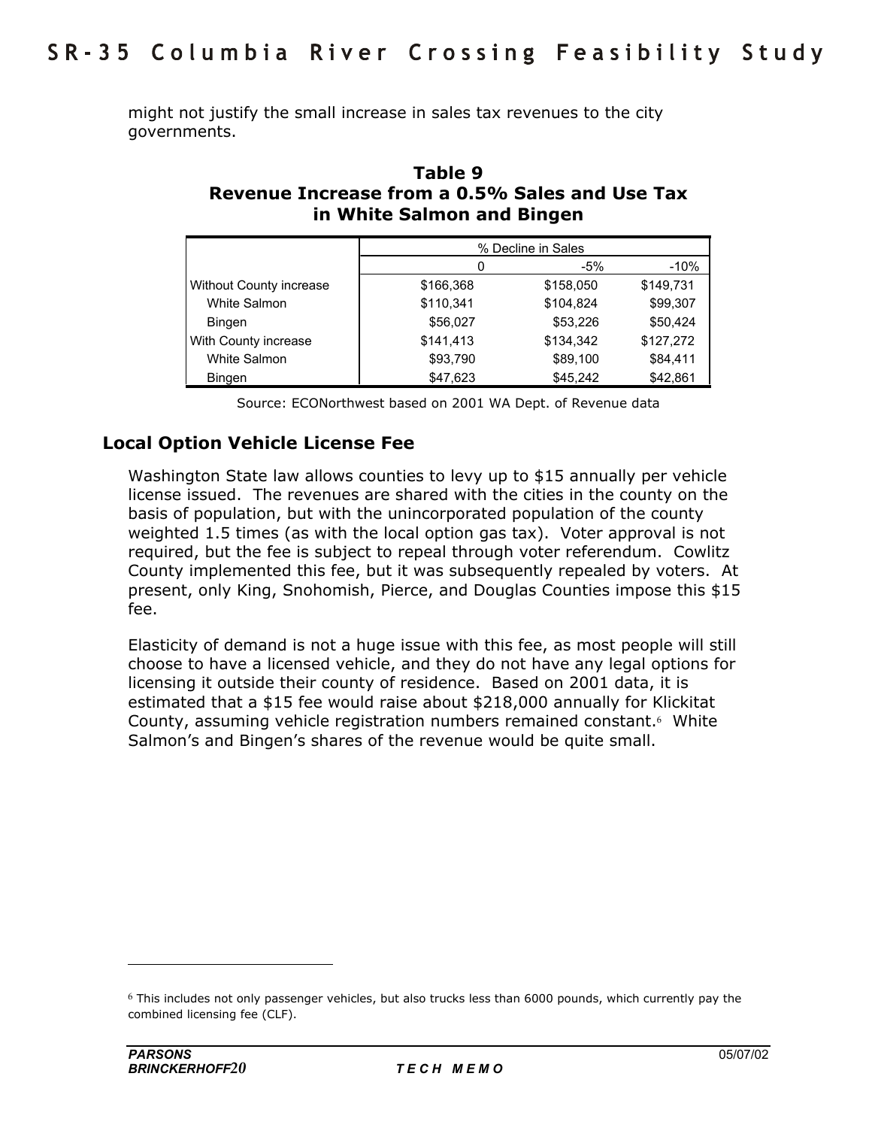might not justify the small increase in sales tax revenues to the city governments.

| Table 9                                        |
|------------------------------------------------|
| Revenue Increase from a 0.5% Sales and Use Tax |
| in White Salmon and Bingen                     |

|                                | % Decline in Sales |           |           |
|--------------------------------|--------------------|-----------|-----------|
|                                | 0                  | -5%       | $-10%$    |
| <b>Without County increase</b> | \$166,368          | \$158,050 | \$149,731 |
| White Salmon                   | \$110,341          | \$104,824 | \$99,307  |
| <b>Bingen</b>                  | \$56,027           | \$53,226  | \$50,424  |
| With County increase           | \$141,413          | \$134,342 | \$127,272 |
| White Salmon                   | \$93,790           | \$89,100  | \$84,411  |
| <b>Bingen</b>                  | \$47,623           | \$45,242  | \$42,861  |

Source: ECONorthwest based on 2001 WA Dept. of Revenue data

# **Local Option Vehicle License Fee**

Washington State law allows counties to levy up to \$15 annually per vehicle license issued. The revenues are shared with the cities in the county on the basis of population, but with the unincorporated population of the county weighted 1.5 times (as with the local option gas tax). Voter approval is not required, but the fee is subject to repeal through voter referendum. Cowlitz County implemented this fee, but it was subsequently repealed by voters. At present, only King, Snohomish, Pierce, and Douglas Counties impose this \$15 fee.

Elasticity of demand is not a huge issue with this fee, as most people will still choose to have a licensed vehicle, and they do not have any legal options for licensing it outside their county of residence. Based on 2001 data, it is estimated that a \$15 fee would raise about \$218,000 annually for Klickitat County, assuming vehicle registration numbers remained constant.<sup>6</sup> White Salmon's and Bingen's shares of the revenue would be quite small.

 $6$  This includes not only passenger vehicles, but also trucks less than 6000 pounds, which currently pay the combined licensing fee (CLF).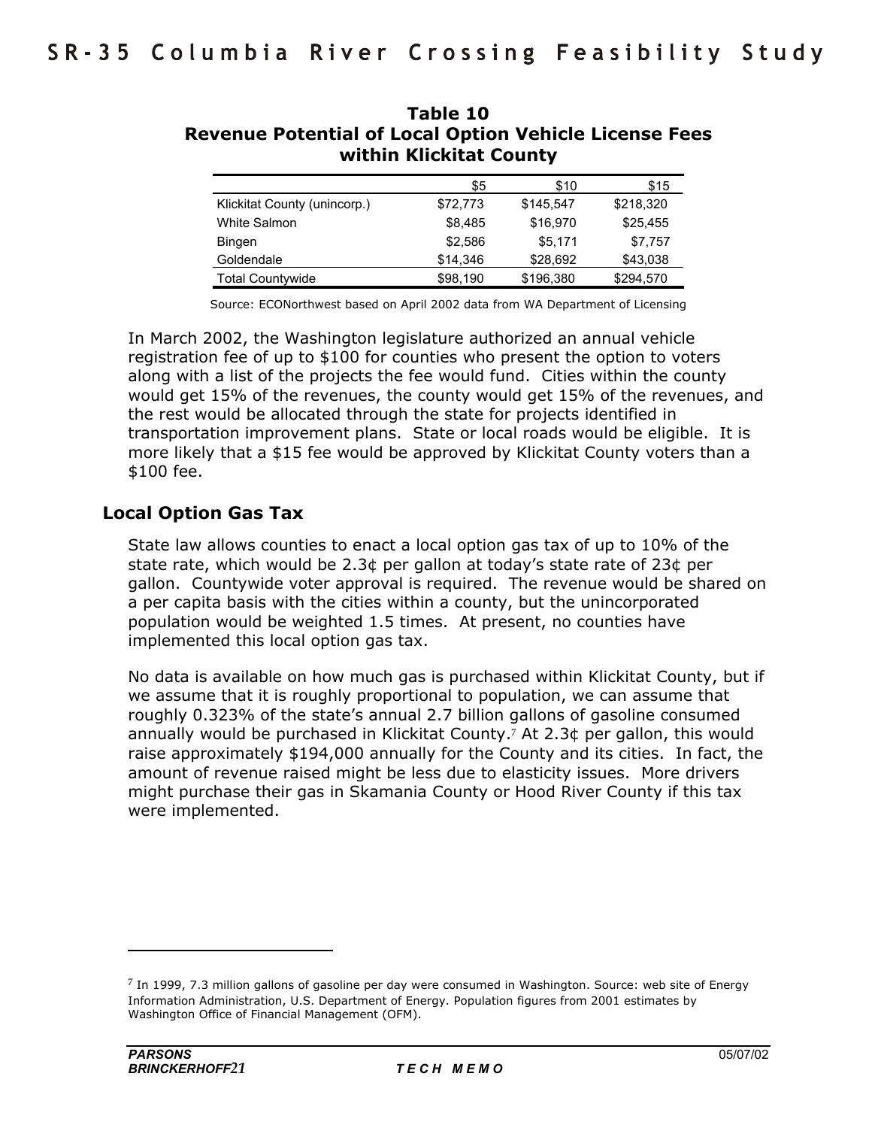|                              | \$5      | \$10      | \$15      |
|------------------------------|----------|-----------|-----------|
| Klickitat County (unincorp.) | \$72,773 | \$145,547 | \$218,320 |
| White Salmon                 | \$8,485  | \$16,970  | \$25,455  |
| <b>Bingen</b>                | \$2,586  | \$5.171   | \$7,757   |
| Goldendale                   | \$14,346 | \$28,692  | \$43,038  |
| <b>Total Countywide</b>      | \$98,190 | \$196,380 | \$294,570 |

### **Table 10 Revenue Potential of Local Option Vehicle License Fees within Klickitat County**

Source: ECONorthwest based on April 2002 data from WA Department of Licensing

In March 2002, the Washington legislature authorized an annual vehicle registration fee of up to \$100 for counties who present the option to voters along with a list of the projects the fee would fund. Cities within the county would get 15% of the revenues, the county would get 15% of the revenues, and the rest would be allocated through the state for projects identified in transportation improvement plans. State or local roads would be eligible. It is more likely that a \$15 fee would be approved by Klickitat County voters than a \$100 fee.

# **Local Option Gas Tax**

State law allows counties to enact a local option gas tax of up to 10% of the state rate, which would be 2.3¢ per gallon at todayís state rate of 23¢ per gallon. Countywide voter approval is required. The revenue would be shared on a per capita basis with the cities within a county, but the unincorporated population would be weighted 1.5 times. At present, no counties have implemented this local option gas tax.

No data is available on how much gas is purchased within Klickitat County, but if we assume that it is roughly proportional to population, we can assume that roughly 0.323% of the state's annual 2.7 billion gallons of gasoline consumed annually would be purchased in Klickitat County.<sup>7</sup> At 2.3 $\phi$  per gallon, this would raise approximately \$194,000 annually for the County and its cities. In fact, the amount of revenue raised might be less due to elasticity issues. More drivers might purchase their gas in Skamania County or Hood River County if this tax were implemented.

 $7$  In 1999, 7.3 million gallons of gasoline per day were consumed in Washington. Source: web site of Energy Information Administration, U.S. Department of Energy. Population figures from 2001 estimates by Washington Office of Financial Management (OFM).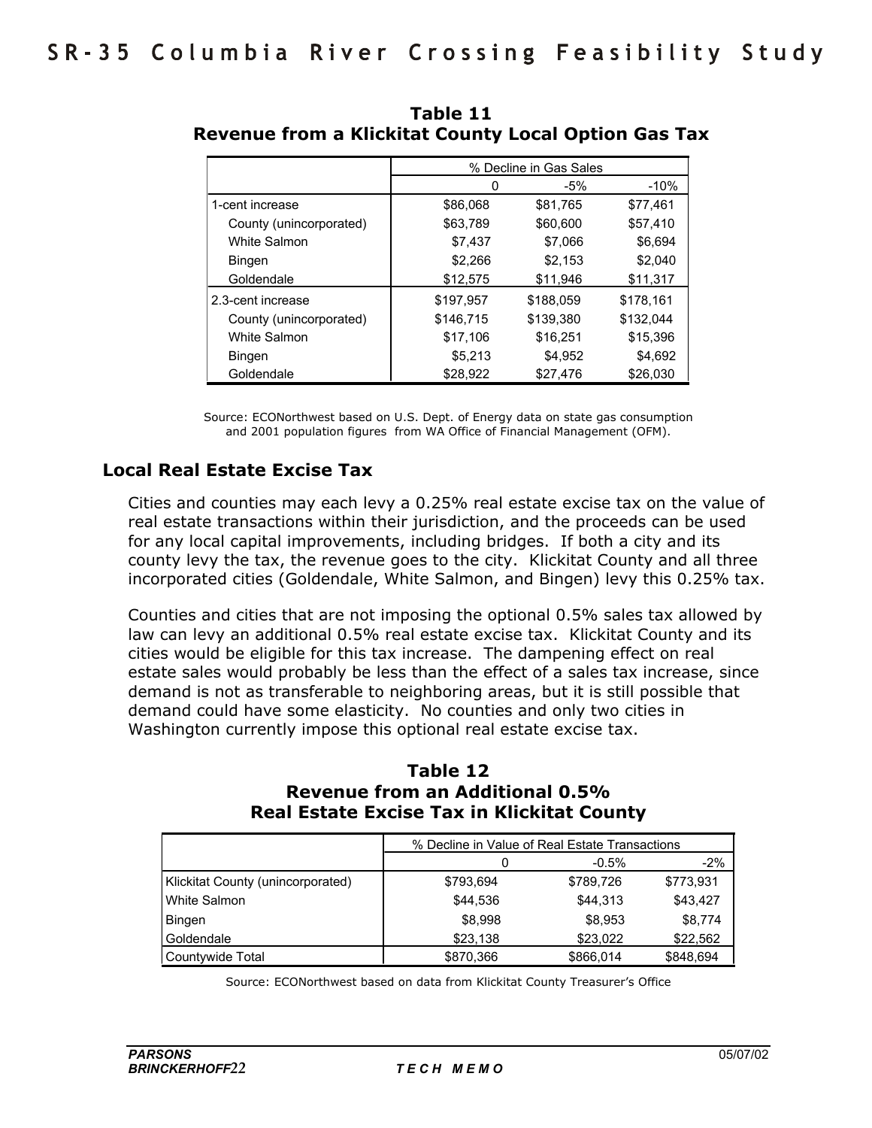|                         |           | % Decline in Gas Sales |           |
|-------------------------|-----------|------------------------|-----------|
|                         | 0         | $-5%$                  | $-10%$    |
| 1-cent increase         | \$86,068  | \$81,765               | \$77,461  |
| County (unincorporated) | \$63,789  | \$60,600               | \$57,410  |
| White Salmon            | \$7,437   | \$7.066                | \$6,694   |
| <b>Bingen</b>           | \$2,266   | \$2,153                | \$2,040   |
| Goldendale              | \$12,575  | \$11,946               | \$11,317  |
| l 2.3-cent increase     | \$197,957 | \$188,059              | \$178,161 |
| County (unincorporated) | \$146,715 | \$139,380              | \$132,044 |
| <b>White Salmon</b>     | \$17,106  | \$16,251               | \$15,396  |
| <b>Bingen</b>           | \$5,213   | \$4,952                | \$4,692   |
| Goldendale              | \$28,922  | \$27,476               | \$26,030  |

 **Table 11 Revenue from a Klickitat County Local Option Gas Tax** 

Source: ECONorthwest based on U.S. Dept. of Energy data on state gas consumption and 2001 population figures from WA Office of Financial Management (OFM).

# **Local Real Estate Excise Tax**

Cities and counties may each levy a 0.25% real estate excise tax on the value of real estate transactions within their jurisdiction, and the proceeds can be used for any local capital improvements, including bridges. If both a city and its county levy the tax, the revenue goes to the city. Klickitat County and all three incorporated cities (Goldendale, White Salmon, and Bingen) levy this 0.25% tax.

Counties and cities that are not imposing the optional 0.5% sales tax allowed by law can levy an additional 0.5% real estate excise tax. Klickitat County and its cities would be eligible for this tax increase. The dampening effect on real estate sales would probably be less than the effect of a sales tax increase, since demand is not as transferable to neighboring areas, but it is still possible that demand could have some elasticity. No counties and only two cities in Washington currently impose this optional real estate excise tax.

#### **Table 12 Revenue from an Additional 0.5% Real Estate Excise Tax in Klickitat County**

|                                   | % Decline in Value of Real Estate Transactions |           |           |
|-----------------------------------|------------------------------------------------|-----------|-----------|
|                                   |                                                | $-0.5%$   | $-2\%$    |
| Klickitat County (unincorporated) | \$793,694                                      | \$789,726 | \$773,931 |
| White Salmon                      | \$44,536                                       | \$44.313  | \$43.427  |
| Bingen                            | \$8,998                                        | \$8,953   | \$8.774   |
| Goldendale                        | \$23,138                                       | \$23,022  | \$22,562  |
| Countywide Total                  | \$870,366                                      | \$866,014 | \$848,694 |

Source: ECONorthwest based on data from Klickitat County Treasurerís Office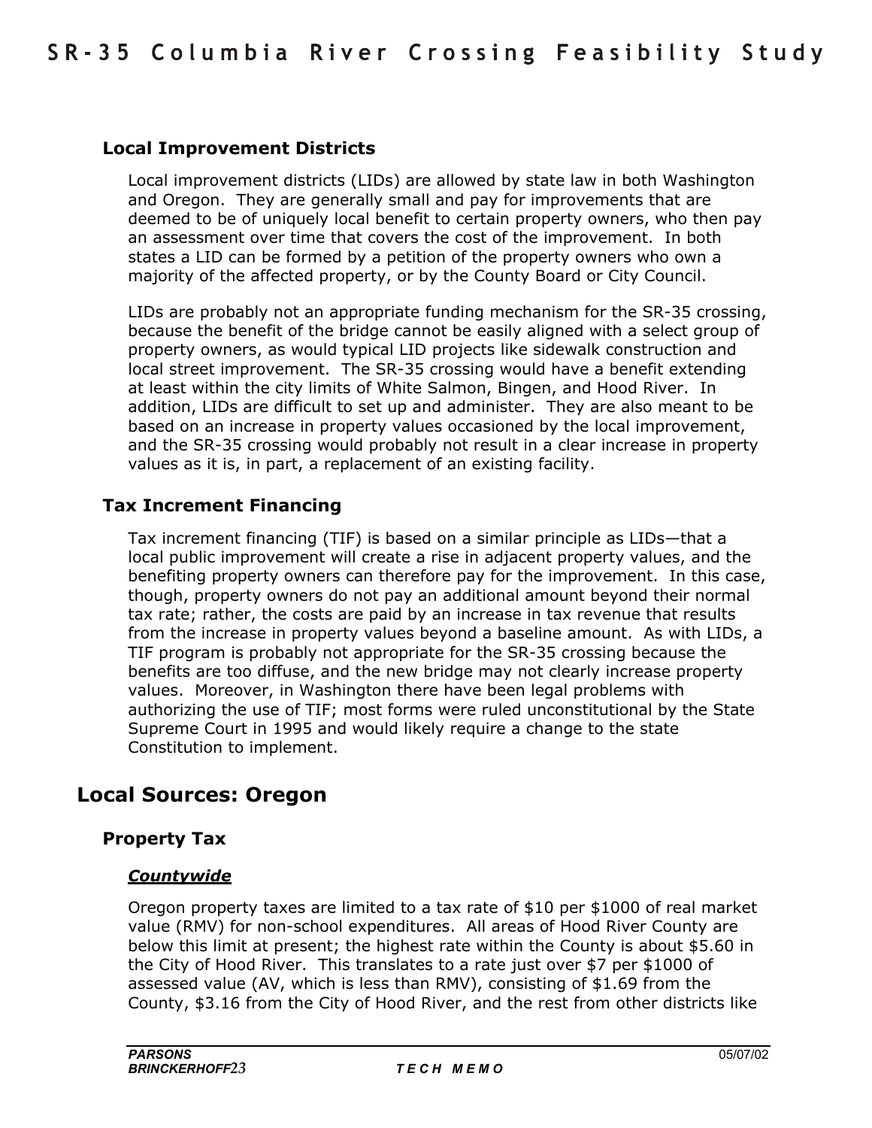# **Local Improvement Districts**

Local improvement districts (LIDs) are allowed by state law in both Washington and Oregon. They are generally small and pay for improvements that are deemed to be of uniquely local benefit to certain property owners, who then pay an assessment over time that covers the cost of the improvement. In both states a LID can be formed by a petition of the property owners who own a majority of the affected property, or by the County Board or City Council.

LIDs are probably not an appropriate funding mechanism for the SR-35 crossing, because the benefit of the bridge cannot be easily aligned with a select group of property owners, as would typical LID projects like sidewalk construction and local street improvement. The SR-35 crossing would have a benefit extending at least within the city limits of White Salmon, Bingen, and Hood River. In addition, LIDs are difficult to set up and administer. They are also meant to be based on an increase in property values occasioned by the local improvement, and the SR-35 crossing would probably not result in a clear increase in property values as it is, in part, a replacement of an existing facility.

# **Tax Increment Financing**

Tax increment financing (TIF) is based on a similar principle as LIDs-that a local public improvement will create a rise in adjacent property values, and the benefiting property owners can therefore pay for the improvement. In this case, though, property owners do not pay an additional amount beyond their normal tax rate; rather, the costs are paid by an increase in tax revenue that results from the increase in property values beyond a baseline amount. As with LIDs, a TIF program is probably not appropriate for the SR-35 crossing because the benefits are too diffuse, and the new bridge may not clearly increase property values. Moreover, in Washington there have been legal problems with authorizing the use of TIF; most forms were ruled unconstitutional by the State Supreme Court in 1995 and would likely require a change to the state Constitution to implement.

# **Local Sources: Oregon**

#### **Property Tax**

#### *Countywide*

Oregon property taxes are limited to a tax rate of \$10 per \$1000 of real market value (RMV) for non-school expenditures. All areas of Hood River County are below this limit at present; the highest rate within the County is about \$5.60 in the City of Hood River. This translates to a rate just over \$7 per \$1000 of assessed value (AV, which is less than RMV), consisting of \$1.69 from the County, \$3.16 from the City of Hood River, and the rest from other districts like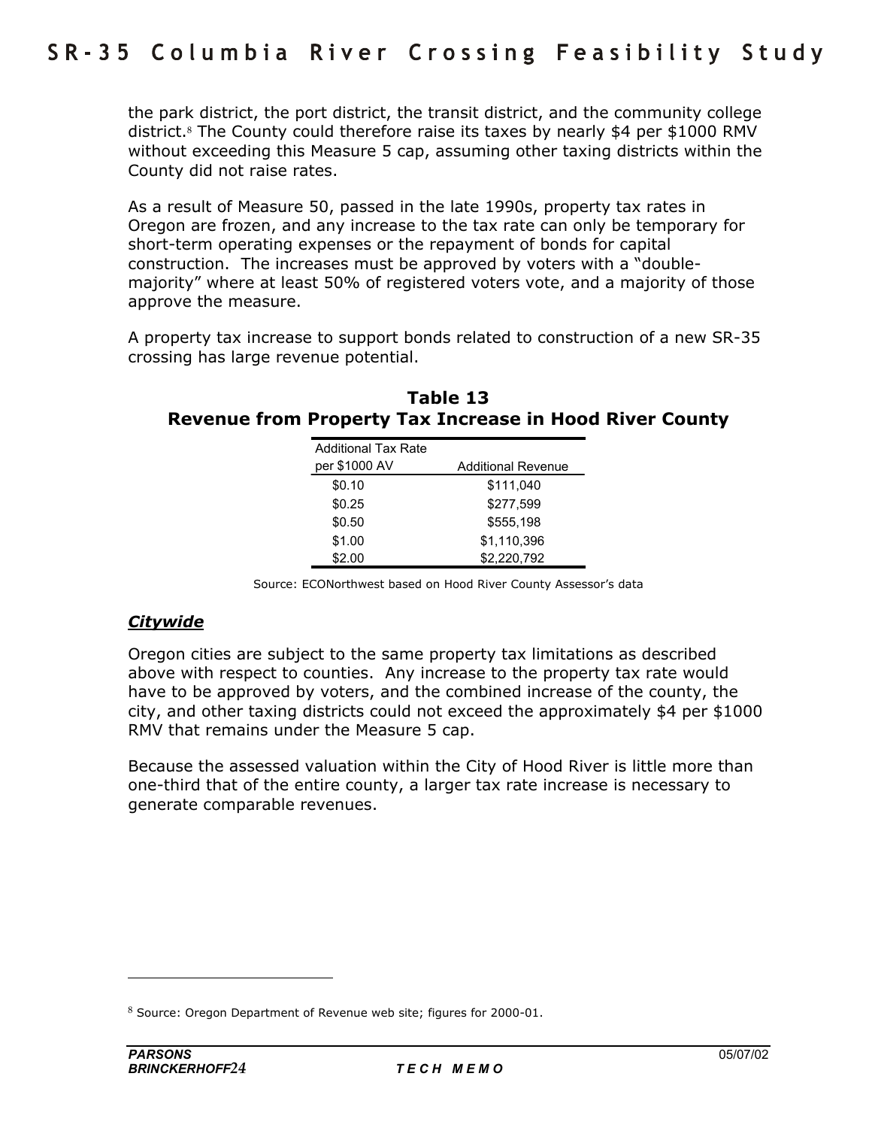the park district, the port district, the transit district, and the community college district.8 The County could therefore raise its taxes by nearly \$4 per \$1000 RMV without exceeding this Measure 5 cap, assuming other taxing districts within the County did not raise rates.

As a result of Measure 50, passed in the late 1990s, property tax rates in Oregon are frozen, and any increase to the tax rate can only be temporary for short-term operating expenses or the repayment of bonds for capital construction. The increases must be approved by voters with a "doublemajority" where at least 50% of registered voters vote, and a majority of those approve the measure.

A property tax increase to support bonds related to construction of a new SR-35 crossing has large revenue potential.

| Table 13                                                       |  |
|----------------------------------------------------------------|--|
| <b>Revenue from Property Tax Increase in Hood River County</b> |  |

| <b>Additional Tax Rate</b> |                           |
|----------------------------|---------------------------|
| per \$1000 AV              | <b>Additional Revenue</b> |
| \$0.10                     | \$111,040                 |
| \$0.25                     | \$277,599                 |
| \$0.50                     | \$555.198                 |
| \$1.00                     | \$1,110,396               |
| \$2.00                     | \$2,220,792               |

Source: ECONorthwest based on Hood River County Assessor's data

# *Citywide*

Oregon cities are subject to the same property tax limitations as described above with respect to counties. Any increase to the property tax rate would have to be approved by voters, and the combined increase of the county, the city, and other taxing districts could not exceed the approximately \$4 per \$1000 RMV that remains under the Measure 5 cap.

Because the assessed valuation within the City of Hood River is little more than one-third that of the entire county, a larger tax rate increase is necessary to generate comparable revenues.

 $8$  Source: Oregon Department of Revenue web site; figures for 2000-01.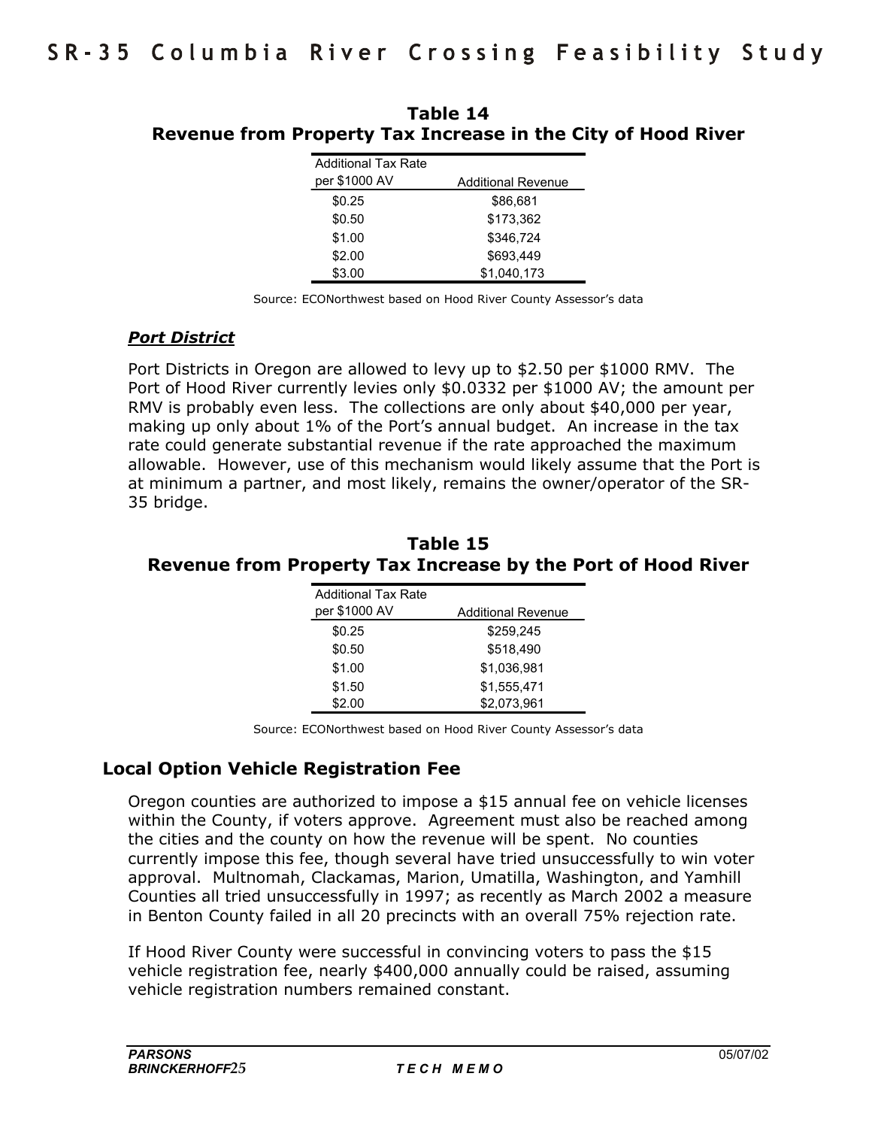| <b>Additional Tax Rate</b> |                           |
|----------------------------|---------------------------|
| per \$1000 AV              | <b>Additional Revenue</b> |
| \$0.25                     | \$86,681                  |
| \$0.50                     | \$173,362                 |
| \$1.00                     | \$346,724                 |
| \$2.00                     | \$693.449                 |
| \$3.00                     | \$1,040,173               |
|                            |                           |

**Table 14 Revenue from Property Tax Increase in the City of Hood River** 

Source: ECONorthwest based on Hood River County Assessor's data

#### *Port District*

Port Districts in Oregon are allowed to levy up to \$2.50 per \$1000 RMV. The Port of Hood River currently levies only \$0.0332 per \$1000 AV; the amount per RMV is probably even less. The collections are only about \$40,000 per year, making up only about 1% of the Port's annual budget. An increase in the tax rate could generate substantial revenue if the rate approached the maximum allowable. However, use of this mechanism would likely assume that the Port is at minimum a partner, and most likely, remains the owner/operator of the SR-35 bridge.

#### **Table 15 Revenue from Property Tax Increase by the Port of Hood River**

| <b>Additional Tax Rate</b> |                           |
|----------------------------|---------------------------|
| per \$1000 AV              | <b>Additional Revenue</b> |
| \$0.25                     | \$259.245                 |
| \$0.50                     | \$518,490                 |
| \$1.00                     | \$1,036,981               |
| \$1.50                     | \$1,555,471               |
| \$2.00                     | \$2,073,961               |

Source: ECONorthwest based on Hood River County Assessor's data

# **Local Option Vehicle Registration Fee**

Oregon counties are authorized to impose a \$15 annual fee on vehicle licenses within the County, if voters approve. Agreement must also be reached among the cities and the county on how the revenue will be spent. No counties currently impose this fee, though several have tried unsuccessfully to win voter approval. Multnomah, Clackamas, Marion, Umatilla, Washington, and Yamhill Counties all tried unsuccessfully in 1997; as recently as March 2002 a measure in Benton County failed in all 20 precincts with an overall 75% rejection rate.

If Hood River County were successful in convincing voters to pass the \$15 vehicle registration fee, nearly \$400,000 annually could be raised, assuming vehicle registration numbers remained constant.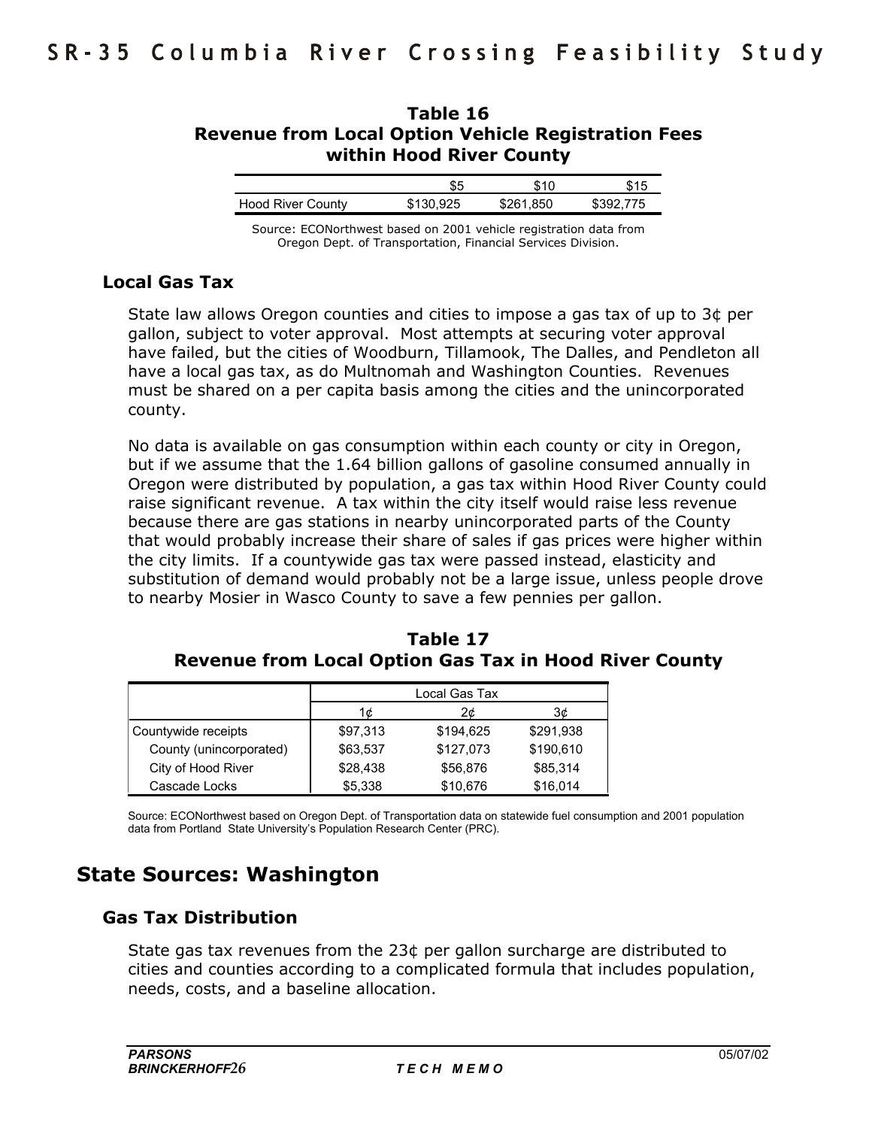# **Table 16 Revenue from Local Option Vehicle Registration Fees within Hood River County**

|                          | ພພ        | S 1 C     | <b>415</b> |
|--------------------------|-----------|-----------|------------|
| <b>Hood River County</b> | \$130.925 | \$261.850 | \$392.775  |

Source: ECONorthwest based on 2001 vehicle registration data from Oregon Dept. of Transportation, Financial Services Division.

### **Local Gas Tax**

State law allows Oregon counties and cities to impose a gas tax of up to 3¢ per gallon, subject to voter approval. Most attempts at securing voter approval have failed, but the cities of Woodburn, Tillamook, The Dalles, and Pendleton all have a local gas tax, as do Multnomah and Washington Counties. Revenues must be shared on a per capita basis among the cities and the unincorporated county.

No data is available on gas consumption within each county or city in Oregon, but if we assume that the 1.64 billion gallons of gasoline consumed annually in Oregon were distributed by population, a gas tax within Hood River County could raise significant revenue. A tax within the city itself would raise less revenue because there are gas stations in nearby unincorporated parts of the County that would probably increase their share of sales if gas prices were higher within the city limits. If a countywide gas tax were passed instead, elasticity and substitution of demand would probably not be a large issue, unless people drove to nearby Mosier in Wasco County to save a few pennies per gallon.

|                         | Local Gas Tax |           |           |
|-------------------------|---------------|-----------|-----------|
|                         | 1¢.           | 2¢        | З¢        |
| Countywide receipts     | \$97,313      | \$194,625 | \$291,938 |
| County (unincorporated) | \$63.537      | \$127,073 | \$190,610 |
| City of Hood River      | \$28,438      | \$56,876  | \$85,314  |
| Cascade Locks           | \$5,338       | \$10,676  | \$16,014  |

**Table 17 Revenue from Local Option Gas Tax in Hood River County** 

Source: ECONorthwest based on Oregon Dept. of Transportation data on statewide fuel consumption and 2001 population data from Portland State University's Population Research Center (PRC).

# **State Sources: Washington**

# **Gas Tax Distribution**

State gas tax revenues from the 23¢ per gallon surcharge are distributed to cities and counties according to a complicated formula that includes population, needs, costs, and a baseline allocation.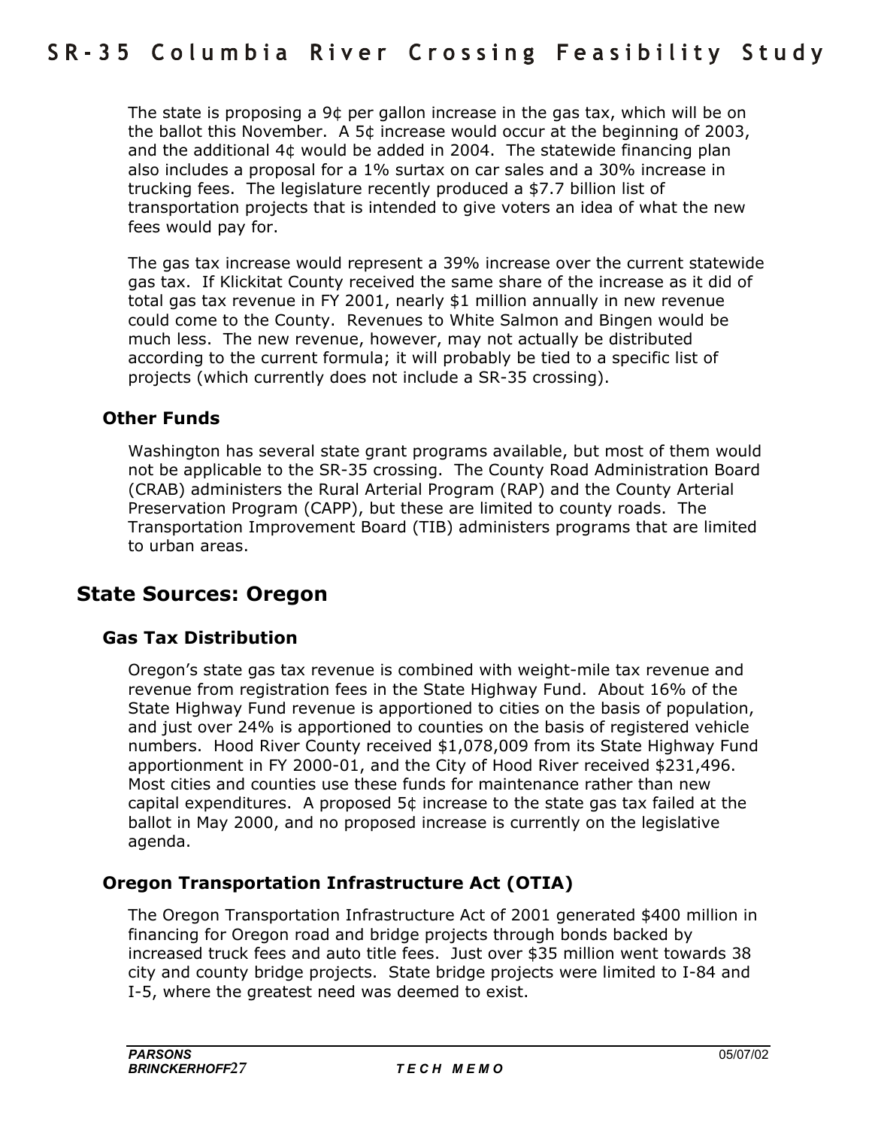The state is proposing a 9¢ per gallon increase in the gas tax, which will be on the ballot this November. A 5¢ increase would occur at the beginning of 2003, and the additional 4¢ would be added in 2004. The statewide financing plan also includes a proposal for a 1% surtax on car sales and a 30% increase in trucking fees. The legislature recently produced a \$7.7 billion list of transportation projects that is intended to give voters an idea of what the new fees would pay for.

The gas tax increase would represent a 39% increase over the current statewide gas tax. If Klickitat County received the same share of the increase as it did of total gas tax revenue in FY 2001, nearly \$1 million annually in new revenue could come to the County. Revenues to White Salmon and Bingen would be much less. The new revenue, however, may not actually be distributed according to the current formula; it will probably be tied to a specific list of projects (which currently does not include a SR-35 crossing).

### **Other Funds**

Washington has several state grant programs available, but most of them would not be applicable to the SR-35 crossing. The County Road Administration Board (CRAB) administers the Rural Arterial Program (RAP) and the County Arterial Preservation Program (CAPP), but these are limited to county roads. The Transportation Improvement Board (TIB) administers programs that are limited to urban areas.

# **State Sources: Oregon**

# **Gas Tax Distribution**

Oregonís state gas tax revenue is combined with weight-mile tax revenue and revenue from registration fees in the State Highway Fund. About 16% of the State Highway Fund revenue is apportioned to cities on the basis of population, and just over 24% is apportioned to counties on the basis of registered vehicle numbers. Hood River County received \$1,078,009 from its State Highway Fund apportionment in FY 2000-01, and the City of Hood River received \$231,496. Most cities and counties use these funds for maintenance rather than new capital expenditures. A proposed 5¢ increase to the state gas tax failed at the ballot in May 2000, and no proposed increase is currently on the legislative agenda.

# **Oregon Transportation Infrastructure Act (OTIA)**

The Oregon Transportation Infrastructure Act of 2001 generated \$400 million in financing for Oregon road and bridge projects through bonds backed by increased truck fees and auto title fees. Just over \$35 million went towards 38 city and county bridge projects. State bridge projects were limited to I-84 and I-5, where the greatest need was deemed to exist.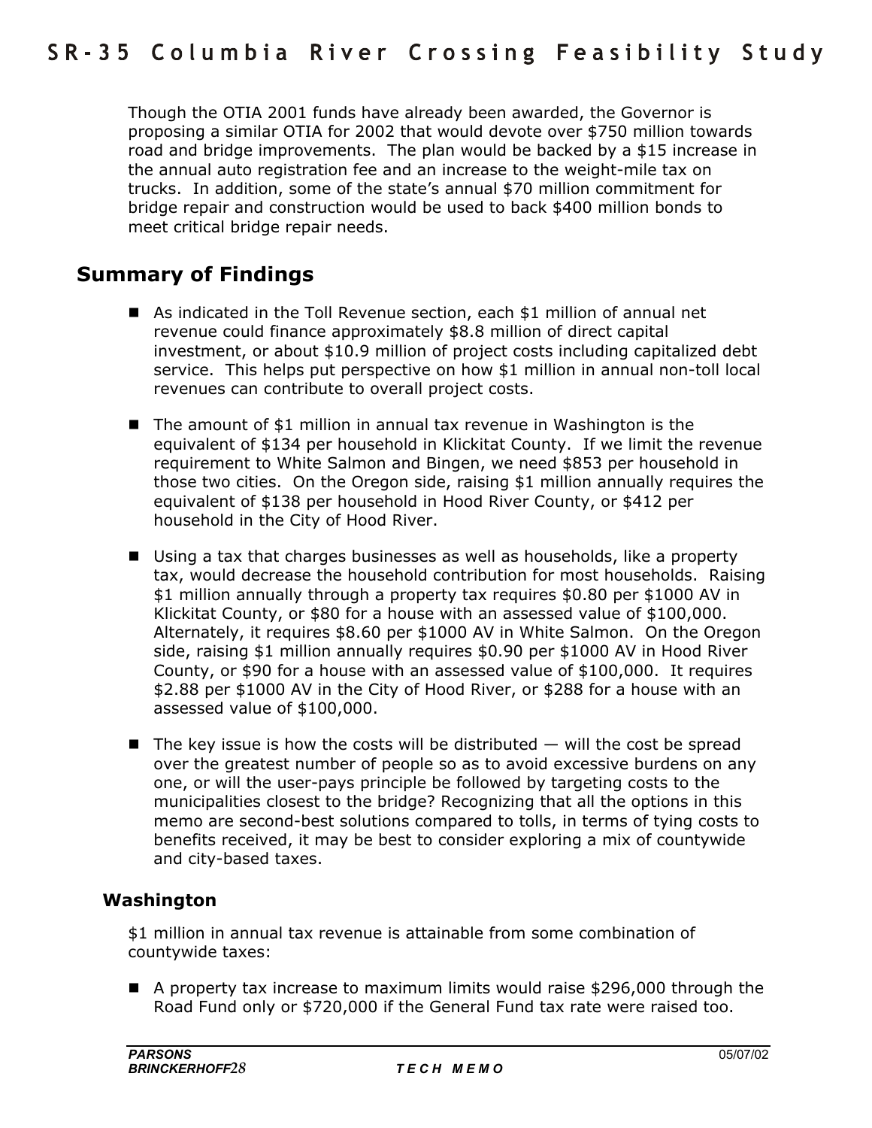Though the OTIA 2001 funds have already been awarded, the Governor is proposing a similar OTIA for 2002 that would devote over \$750 million towards road and bridge improvements. The plan would be backed by a \$15 increase in the annual auto registration fee and an increase to the weight-mile tax on trucks. In addition, some of the state's annual \$70 million commitment for bridge repair and construction would be used to back \$400 million bonds to meet critical bridge repair needs.

# **Summary of Findings**

- As indicated in the Toll Revenue section, each \$1 million of annual net revenue could finance approximately \$8.8 million of direct capital investment, or about \$10.9 million of project costs including capitalized debt service. This helps put perspective on how \$1 million in annual non-toll local revenues can contribute to overall project costs.
- The amount of \$1 million in annual tax revenue in Washington is the equivalent of \$134 per household in Klickitat County. If we limit the revenue requirement to White Salmon and Bingen, we need \$853 per household in those two cities. On the Oregon side, raising \$1 million annually requires the equivalent of \$138 per household in Hood River County, or \$412 per household in the City of Hood River.
- Using a tax that charges businesses as well as households, like a property tax, would decrease the household contribution for most households. Raising \$1 million annually through a property tax requires \$0.80 per \$1000 AV in Klickitat County, or \$80 for a house with an assessed value of \$100,000. Alternately, it requires \$8.60 per \$1000 AV in White Salmon. On the Oregon side, raising \$1 million annually requires \$0.90 per \$1000 AV in Hood River County, or \$90 for a house with an assessed value of \$100,000. It requires \$2.88 per \$1000 AV in the City of Hood River, or \$288 for a house with an assessed value of \$100,000.
- **The key issue is how the costs will be distributed**  $-$  **will the cost be spread** over the greatest number of people so as to avoid excessive burdens on any one, or will the user-pays principle be followed by targeting costs to the municipalities closest to the bridge? Recognizing that all the options in this memo are second-best solutions compared to tolls, in terms of tying costs to benefits received, it may be best to consider exploring a mix of countywide and city-based taxes.

# **Washington**

\$1 million in annual tax revenue is attainable from some combination of countywide taxes:

■ A property tax increase to maximum limits would raise \$296,000 through the Road Fund only or \$720,000 if the General Fund tax rate were raised too.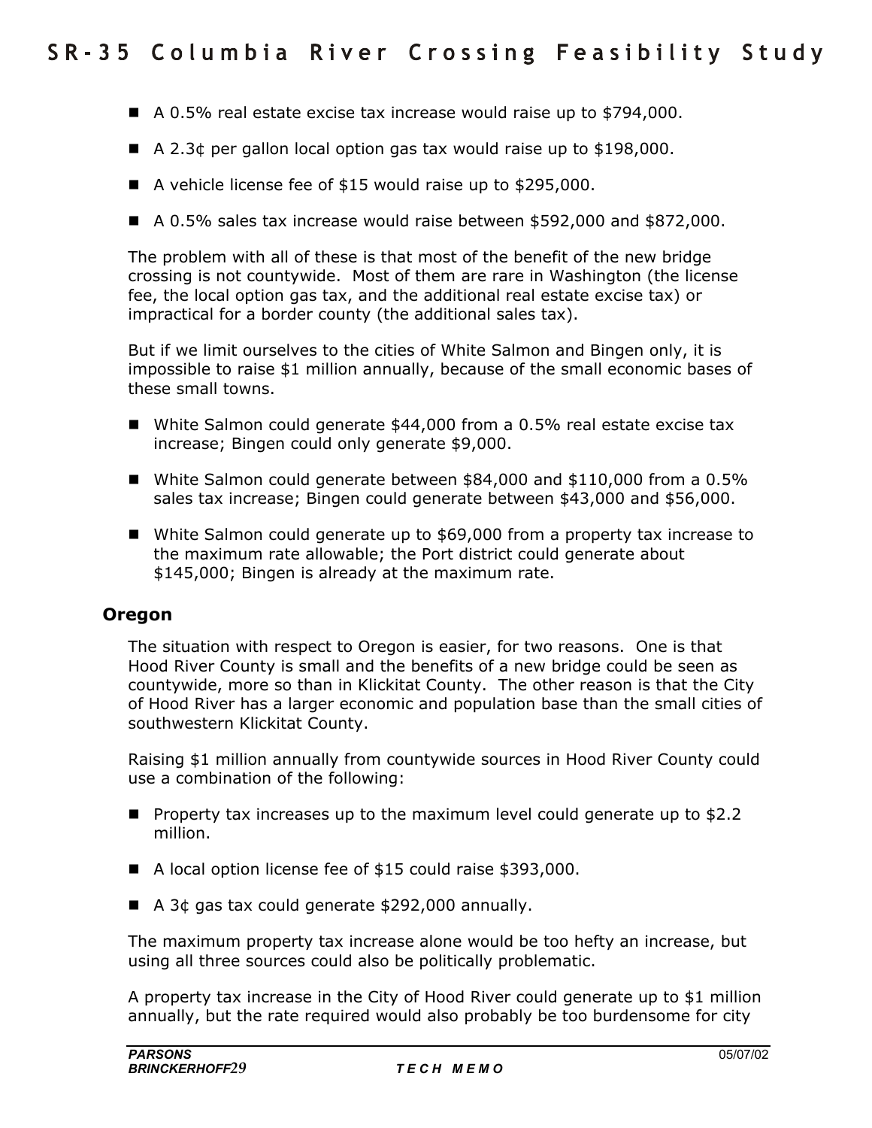- $\blacksquare$  A 0.5% real estate excise tax increase would raise up to \$794,000.
- $\blacksquare$  A 2.3¢ per gallon local option gas tax would raise up to \$198,000.
- A vehicle license fee of \$15 would raise up to \$295,000.
- $\blacksquare$  A 0.5% sales tax increase would raise between \$592,000 and \$872,000.

The problem with all of these is that most of the benefit of the new bridge crossing is not countywide. Most of them are rare in Washington (the license fee, the local option gas tax, and the additional real estate excise tax) or impractical for a border county (the additional sales tax).

But if we limit ourselves to the cities of White Salmon and Bingen only, it is impossible to raise \$1 million annually, because of the small economic bases of these small towns.

- White Salmon could generate \$44,000 from a 0.5% real estate excise tax increase; Bingen could only generate \$9,000.
- White Salmon could generate between \$84,000 and \$110,000 from a 0.5% sales tax increase; Bingen could generate between \$43,000 and \$56,000.
- White Salmon could generate up to \$69,000 from a property tax increase to the maximum rate allowable; the Port district could generate about \$145,000; Bingen is already at the maximum rate.

#### **Oregon**

The situation with respect to Oregon is easier, for two reasons. One is that Hood River County is small and the benefits of a new bridge could be seen as countywide, more so than in Klickitat County. The other reason is that the City of Hood River has a larger economic and population base than the small cities of southwestern Klickitat County.

Raising \$1 million annually from countywide sources in Hood River County could use a combination of the following:

- Property tax increases up to the maximum level could generate up to \$2.2 million.
- A local option license fee of \$15 could raise \$393,000.
- $\blacksquare$  A 3¢ gas tax could generate \$292,000 annually.

The maximum property tax increase alone would be too hefty an increase, but using all three sources could also be politically problematic.

A property tax increase in the City of Hood River could generate up to \$1 million annually, but the rate required would also probably be too burdensome for city